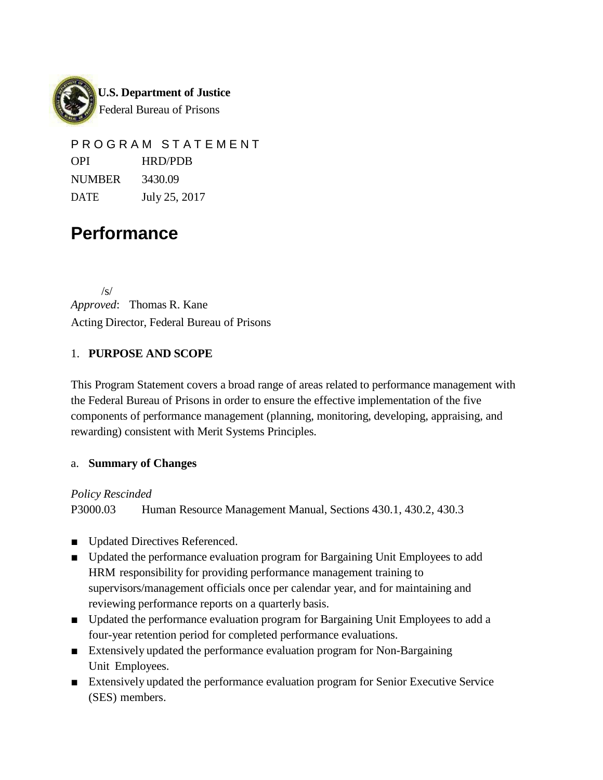

PROGRAM STATEMENT OPI HRD/PDB NUMBER 3430.09 DATE July 25, 2017

# **Performance**

/s/ *Approved*: Thomas R. Kane Acting Director, Federal Bureau of Prisons

#### 1. **PURPOSE AND SCOPE**

This Program Statement covers a broad range of areas related to performance management with the Federal Bureau of Prisons in order to ensure the effective implementation of the five components of performance management (planning, monitoring, developing, appraising, and rewarding) consistent with Merit Systems Principles.

#### a. **Summary of Changes**

*Policy Rescinded*

P3000.03 Human Resource Management Manual, Sections 430.1, 430.2, 430.3

- Updated Directives Referenced.
- Updated the performance evaluation program for Bargaining Unit Employees to add HRM responsibility for providing performance management training to supervisors/management officials once per calendar year, and for maintaining and reviewing performance reports on a quarterly basis.
- Updated the performance evaluation program for Bargaining Unit Employees to add a four-year retention period for completed performance evaluations.
- Extensively updated the performance evaluation program for Non-Bargaining Unit Employees.
- Extensively updated the performance evaluation program for Senior Executive Service (SES) members.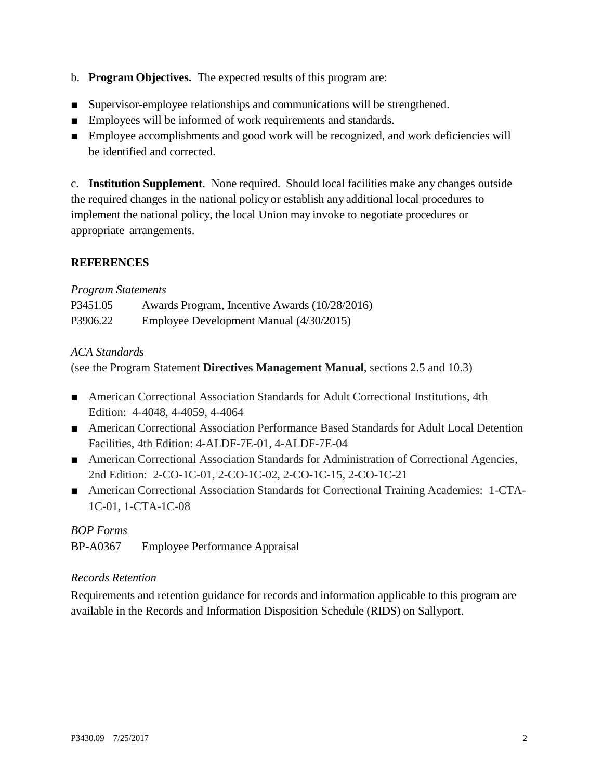- b. **Program Objectives.** The expected results of this program are:
- Supervisor-employee relationships and communications will be strengthened.
- Employees will be informed of work requirements and standards.
- Employee accomplishments and good work will be recognized, and work deficiencies will be identified and corrected.

c. **Institution Supplement**. None required. Should local facilities make any changes outside the required changes in the national policy or establish any additional local procedures to implement the national policy, the local Union may invoke to negotiate procedures or appropriate arrangements.

#### **REFERENCES**

#### *Program Statements*

| P3451.05 | Awards Program, Incentive Awards (10/28/2016) |
|----------|-----------------------------------------------|
| P3906.22 | Employee Development Manual (4/30/2015)       |

#### *ACA Standards*

(see the Program Statement **Directives Management Manual**, sections 2.5 and 10.3)

- American Correctional Association Standards for Adult Correctional Institutions, 4th Edition: 4-4048, 4-4059, 4-4064
- American Correctional Association Performance Based Standards for Adult Local Detention Facilities, 4th Edition: 4-ALDF-7E-01, 4-ALDF-7E-04
- American Correctional Association Standards for Administration of Correctional Agencies, 2nd Edition: 2-CO-1C-01, 2-CO-1C-02, 2-CO-1C-15, 2-CO-1C-21
- American Correctional Association Standards for Correctional Training Academies: 1-CTA-1C-01, 1-CTA-1C-08

#### *BOP Forms*

BP-A0367 Employee Performance Appraisal

#### *Records Retention*

Requirements and retention guidance for records and information applicable to this program are available in the Records and Information Disposition Schedule (RIDS) on Sallyport.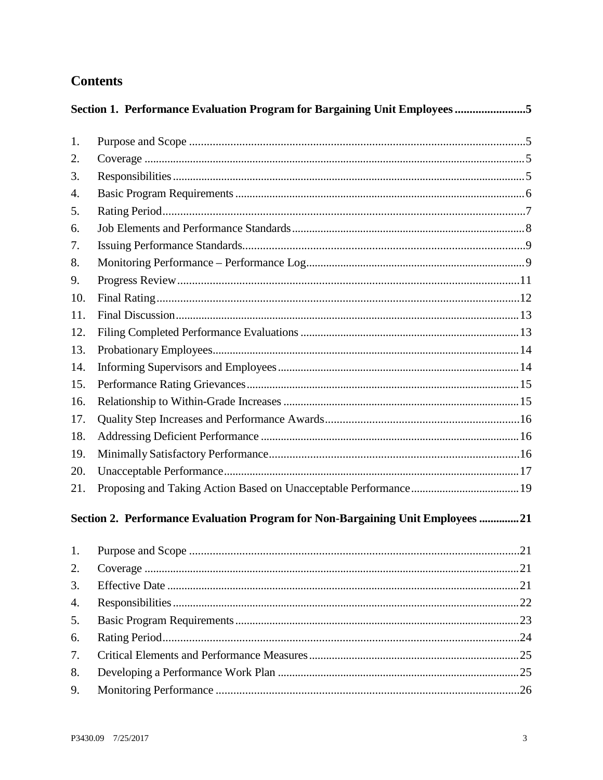# **Contents**

|     | Section 1. Performance Evaluation Program for Bargaining Unit Employees5       |  |
|-----|--------------------------------------------------------------------------------|--|
| 1.  |                                                                                |  |
| 2.  |                                                                                |  |
| 3.  |                                                                                |  |
| 4.  |                                                                                |  |
| 5.  |                                                                                |  |
| 6.  |                                                                                |  |
| 7.  |                                                                                |  |
| 8.  |                                                                                |  |
| 9.  |                                                                                |  |
| 10. |                                                                                |  |
| 11. |                                                                                |  |
| 12. |                                                                                |  |
| 13. |                                                                                |  |
| 14. |                                                                                |  |
| 15. |                                                                                |  |
| 16. |                                                                                |  |
| 17. |                                                                                |  |
| 18. |                                                                                |  |
| 19. |                                                                                |  |
| 20. |                                                                                |  |
| 21. |                                                                                |  |
|     | Section 2. Performance Evaluation Program for Non-Bargaining Unit Employees 21 |  |
| 1.  |                                                                                |  |
| 2.  |                                                                                |  |
| 3.  |                                                                                |  |
| 4.  |                                                                                |  |
| 5.  |                                                                                |  |
| 6.  |                                                                                |  |
| 7.  |                                                                                |  |
| 8.  |                                                                                |  |
| 9.  |                                                                                |  |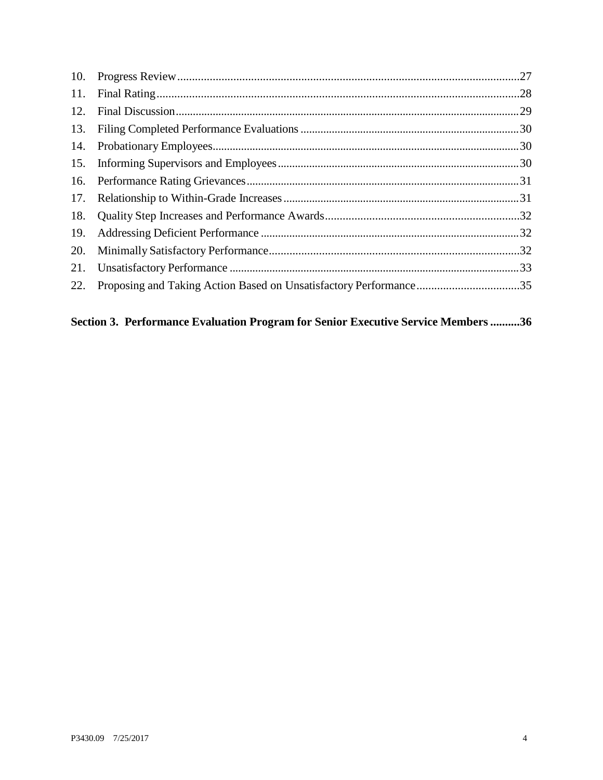| Proposing and Taking Action Based on Unsatisfactory Performance35 |
|-------------------------------------------------------------------|

# Section 3. Performance Evaluation Program for Senior Executive Service Members ..........36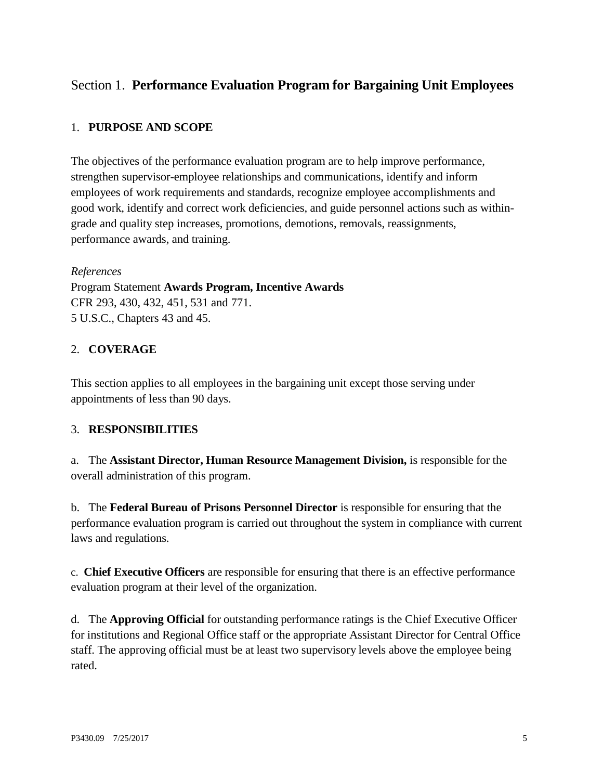# <span id="page-4-0"></span>Section 1. **Performance Evaluation Program for Bargaining Unit Employees**

#### <span id="page-4-1"></span>1. **PURPOSE AND SCOPE**

The objectives of the performance evaluation program are to help improve performance, strengthen supervisor-employee relationships and communications, identify and inform employees of work requirements and standards, recognize employee accomplishments and good work, identify and correct work deficiencies, and guide personnel actions such as withingrade and quality step increases, promotions, demotions, removals, reassignments, performance awards, and training.

#### *References*

Program Statement **Awards Program, Incentive Awards** CFR 293, 430, 432, 451, 531 and 771. 5 U.S.C., Chapters 43 and 45.

#### <span id="page-4-2"></span>2. **COVERAGE**

This section applies to all employees in the bargaining unit except those serving under appointments of less than 90 days.

#### <span id="page-4-3"></span>3. **RESPONSIBILITIES**

a. The **Assistant Director, Human Resource Management Division,** is responsible for the overall administration of this program.

b. The **Federal Bureau of Prisons Personnel Director** is responsible for ensuring that the performance evaluation program is carried out throughout the system in compliance with current laws and regulations.

c. **Chief Executive Officers** are responsible for ensuring that there is an effective performance evaluation program at their level of the organization.

d. The **Approving Official** for outstanding performance ratings is the Chief Executive Officer for institutions and Regional Office staff or the appropriate Assistant Director for Central Office staff. The approving official must be at least two supervisory levels above the employee being rated.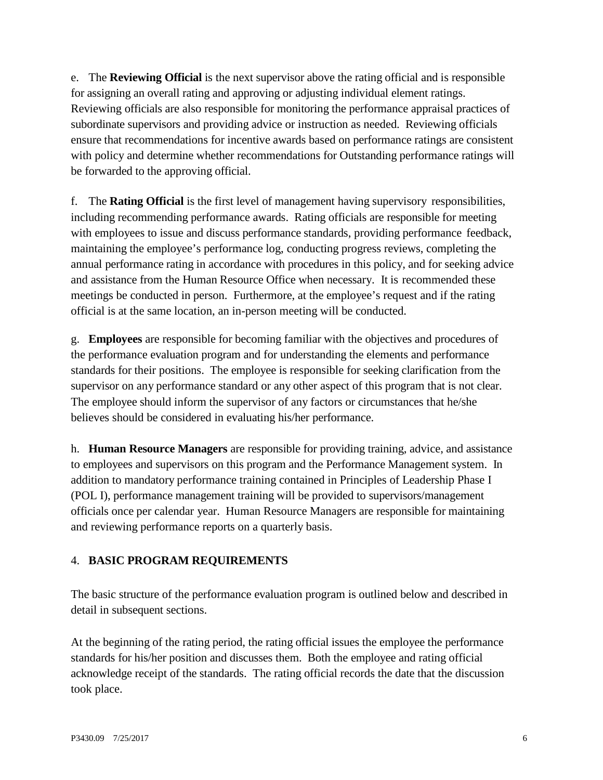e. The **Reviewing Official** is the next supervisor above the rating official and is responsible for assigning an overall rating and approving or adjusting individual element ratings. Reviewing officials are also responsible for monitoring the performance appraisal practices of subordinate supervisors and providing advice or instruction as needed. Reviewing officials ensure that recommendations for incentive awards based on performance ratings are consistent with policy and determine whether recommendations for Outstanding performance ratings will be forwarded to the approving official.

f. The **Rating Official** is the first level of management having supervisory responsibilities, including recommending performance awards. Rating officials are responsible for meeting with employees to issue and discuss performance standards, providing performance feedback, maintaining the employee's performance log, conducting progress reviews, completing the annual performance rating in accordance with procedures in this policy, and for seeking advice and assistance from the Human Resource Office when necessary. It is recommended these meetings be conducted in person. Furthermore, at the employee's request and if the rating official is at the same location, an in-person meeting will be conducted.

g. **Employees** are responsible for becoming familiar with the objectives and procedures of the performance evaluation program and for understanding the elements and performance standards for their positions. The employee is responsible for seeking clarification from the supervisor on any performance standard or any other aspect of this program that is not clear. The employee should inform the supervisor of any factors or circumstances that he/she believes should be considered in evaluating his/her performance.

h. **Human Resource Managers** are responsible for providing training, advice, and assistance to employees and supervisors on this program and the Performance Management system. In addition to mandatory performance training contained in Principles of Leadership Phase I (POL I), performance management training will be provided to supervisors/management officials once per calendar year. Human Resource Managers are responsible for maintaining and reviewing performance reports on a quarterly basis.

#### <span id="page-5-0"></span>4. **BASIC PROGRAM REQUIREMENTS**

The basic structure of the performance evaluation program is outlined below and described in detail in subsequent sections.

At the beginning of the rating period, the rating official issues the employee the performance standards for his/her position and discusses them. Both the employee and rating official acknowledge receipt of the standards. The rating official records the date that the discussion took place.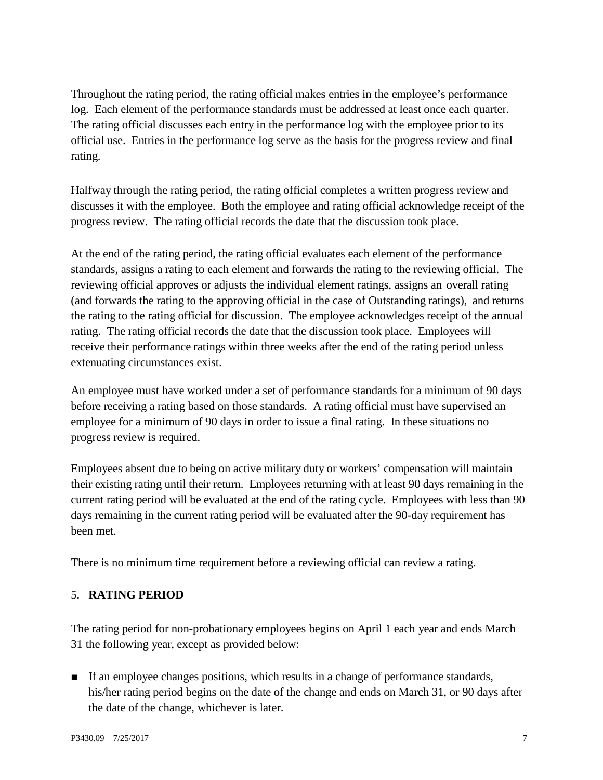Throughout the rating period, the rating official makes entries in the employee's performance log. Each element of the performance standards must be addressed at least once each quarter. The rating official discusses each entry in the performance log with the employee prior to its official use. Entries in the performance log serve as the basis for the progress review and final rating.

Halfway through the rating period, the rating official completes a written progress review and discusses it with the employee. Both the employee and rating official acknowledge receipt of the progress review. The rating official records the date that the discussion took place.

At the end of the rating period, the rating official evaluates each element of the performance standards, assigns a rating to each element and forwards the rating to the reviewing official. The reviewing official approves or adjusts the individual element ratings, assigns an overall rating (and forwards the rating to the approving official in the case of Outstanding ratings), and returns the rating to the rating official for discussion. The employee acknowledges receipt of the annual rating. The rating official records the date that the discussion took place. Employees will receive their performance ratings within three weeks after the end of the rating period unless extenuating circumstances exist.

An employee must have worked under a set of performance standards for a minimum of 90 days before receiving a rating based on those standards. A rating official must have supervised an employee for a minimum of 90 days in order to issue a final rating. In these situations no progress review is required.

Employees absent due to being on active military duty or workers' compensation will maintain their existing rating until their return. Employees returning with at least 90 days remaining in the current rating period will be evaluated at the end of the rating cycle. Employees with less than 90 days remaining in the current rating period will be evaluated after the 90-day requirement has been met.

There is no minimum time requirement before a reviewing official can review a rating.

#### <span id="page-6-0"></span>5. **RATING PERIOD**

The rating period for non-probationary employees begins on April 1 each year and ends March 31 the following year, except as provided below:

■ If an employee changes positions, which results in a change of performance standards, his/her rating period begins on the date of the change and ends on March 31, or 90 days after the date of the change, whichever is later.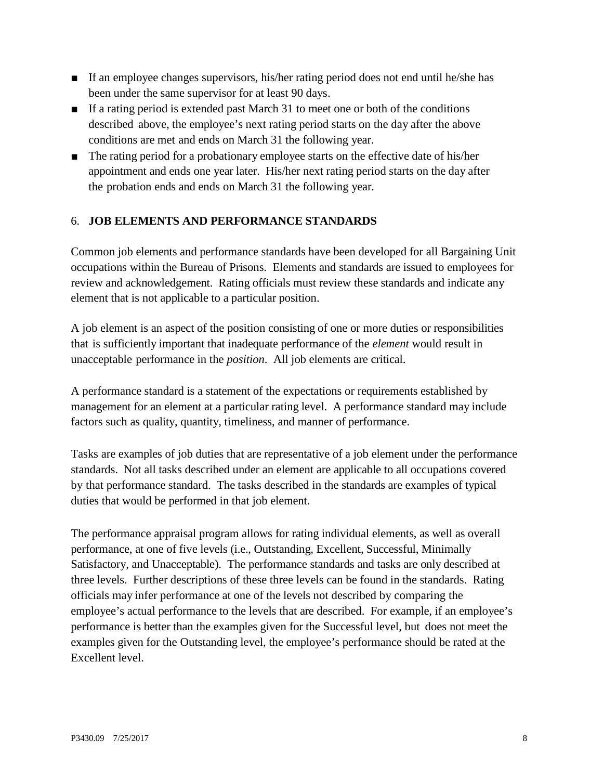- If an employee changes supervisors, his/her rating period does not end until he/she has been under the same supervisor for at least 90 days.
- If a rating period is extended past March 31 to meet one or both of the conditions described above, the employee's next rating period starts on the day after the above conditions are met and ends on March 31 the following year.
- The rating period for a probationary employee starts on the effective date of his/her appointment and ends one year later. His/her next rating period starts on the day after the probation ends and ends on March 31 the following year.

#### <span id="page-7-0"></span>6. **JOB ELEMENTS AND PERFORMANCE STANDARDS**

Common job elements and performance standards have been developed for all Bargaining Unit occupations within the Bureau of Prisons. Elements and standards are issued to employees for review and acknowledgement. Rating officials must review these standards and indicate any element that is not applicable to a particular position.

A job element is an aspect of the position consisting of one or more duties or responsibilities that is sufficiently important that inadequate performance of the *element* would result in unacceptable performance in the *position*. All job elements are critical.

A performance standard is a statement of the expectations or requirements established by management for an element at a particular rating level. A performance standard may include factors such as quality, quantity, timeliness, and manner of performance.

Tasks are examples of job duties that are representative of a job element under the performance standards. Not all tasks described under an element are applicable to all occupations covered by that performance standard. The tasks described in the standards are examples of typical duties that would be performed in that job element.

The performance appraisal program allows for rating individual elements, as well as overall performance, at one of five levels (i.e., Outstanding, Excellent, Successful, Minimally Satisfactory, and Unacceptable). The performance standards and tasks are only described at three levels. Further descriptions of these three levels can be found in the standards. Rating officials may infer performance at one of the levels not described by comparing the employee's actual performance to the levels that are described. For example, if an employee's performance is better than the examples given for the Successful level, but does not meet the examples given for the Outstanding level, the employee's performance should be rated at the Excellent level.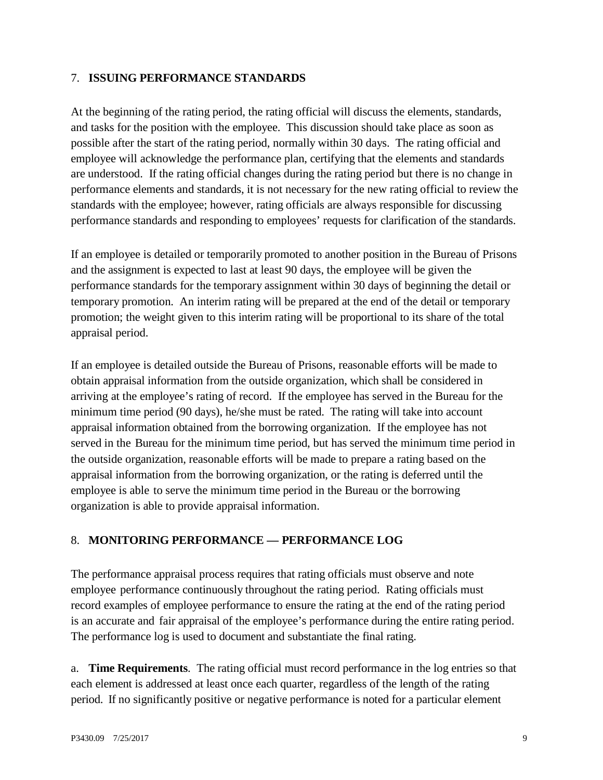#### <span id="page-8-0"></span>7. **ISSUING PERFORMANCE STANDARDS**

At the beginning of the rating period, the rating official will discuss the elements, standards, and tasks for the position with the employee. This discussion should take place as soon as possible after the start of the rating period, normally within 30 days. The rating official and employee will acknowledge the performance plan, certifying that the elements and standards are understood. If the rating official changes during the rating period but there is no change in performance elements and standards, it is not necessary for the new rating official to review the standards with the employee; however, rating officials are always responsible for discussing performance standards and responding to employees' requests for clarification of the standards.

If an employee is detailed or temporarily promoted to another position in the Bureau of Prisons and the assignment is expected to last at least 90 days, the employee will be given the performance standards for the temporary assignment within 30 days of beginning the detail or temporary promotion. An interim rating will be prepared at the end of the detail or temporary promotion; the weight given to this interim rating will be proportional to its share of the total appraisal period.

If an employee is detailed outside the Bureau of Prisons, reasonable efforts will be made to obtain appraisal information from the outside organization, which shall be considered in arriving at the employee's rating of record. If the employee has served in the Bureau for the minimum time period (90 days), he/she must be rated. The rating will take into account appraisal information obtained from the borrowing organization. If the employee has not served in the Bureau for the minimum time period, but has served the minimum time period in the outside organization, reasonable efforts will be made to prepare a rating based on the appraisal information from the borrowing organization, or the rating is deferred until the employee is able to serve the minimum time period in the Bureau or the borrowing organization is able to provide appraisal information.

#### <span id="page-8-1"></span>8. **MONITORING PERFORMANCE — PERFORMANCE LOG**

The performance appraisal process requires that rating officials must observe and note employee performance continuously throughout the rating period. Rating officials must record examples of employee performance to ensure the rating at the end of the rating period is an accurate and fair appraisal of the employee's performance during the entire rating period. The performance log is used to document and substantiate the final rating.

a. **Time Requirements**. The rating official must record performance in the log entries so that each element is addressed at least once each quarter, regardless of the length of the rating period. If no significantly positive or negative performance is noted for a particular element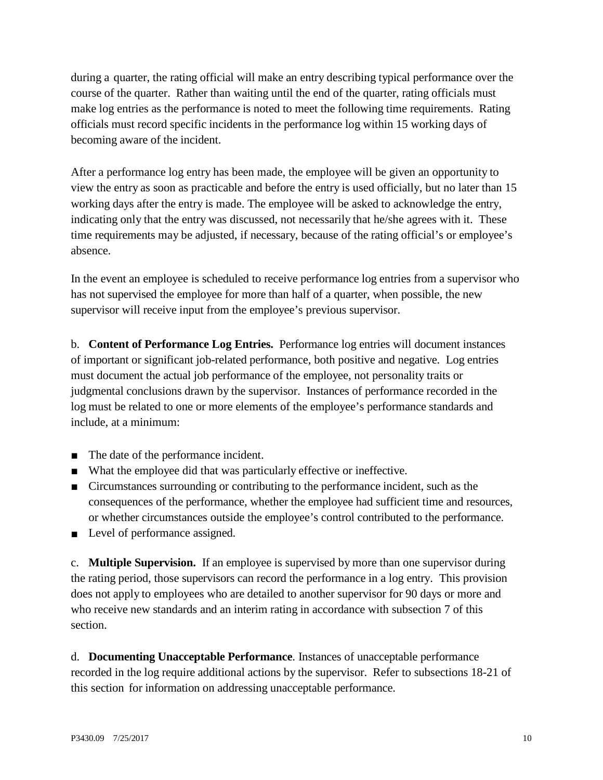during a quarter, the rating official will make an entry describing typical performance over the course of the quarter. Rather than waiting until the end of the quarter, rating officials must make log entries as the performance is noted to meet the following time requirements. Rating officials must record specific incidents in the performance log within 15 working days of becoming aware of the incident.

After a performance log entry has been made, the employee will be given an opportunity to view the entry as soon as practicable and before the entry is used officially, but no later than 15 working days after the entry is made. The employee will be asked to acknowledge the entry, indicating only that the entry was discussed, not necessarily that he/she agrees with it. These time requirements may be adjusted, if necessary, because of the rating official's or employee's absence.

In the event an employee is scheduled to receive performance log entries from a supervisor who has not supervised the employee for more than half of a quarter, when possible, the new supervisor will receive input from the employee's previous supervisor.

b. **Content of Performance Log Entries.** Performance log entries will document instances of important or significant job-related performance, both positive and negative. Log entries must document the actual job performance of the employee, not personality traits or judgmental conclusions drawn by the supervisor. Instances of performance recorded in the log must be related to one or more elements of the employee's performance standards and include, at a minimum:

- The date of the performance incident.
- What the employee did that was particularly effective or ineffective.
- Circumstances surrounding or contributing to the performance incident, such as the consequences of the performance, whether the employee had sufficient time and resources, or whether circumstances outside the employee's control contributed to the performance.
- Level of performance assigned.

c. **Multiple Supervision.** If an employee is supervised by more than one supervisor during the rating period, those supervisors can record the performance in a log entry. This provision does not apply to employees who are detailed to another supervisor for 90 days or more and who receive new standards and an interim rating in accordance with subsection 7 of this section.

d. **Documenting Unacceptable Performance**. Instances of unacceptable performance recorded in the log require additional actions by the supervisor. Refer to subsections 18-21 of this section for information on addressing unacceptable performance.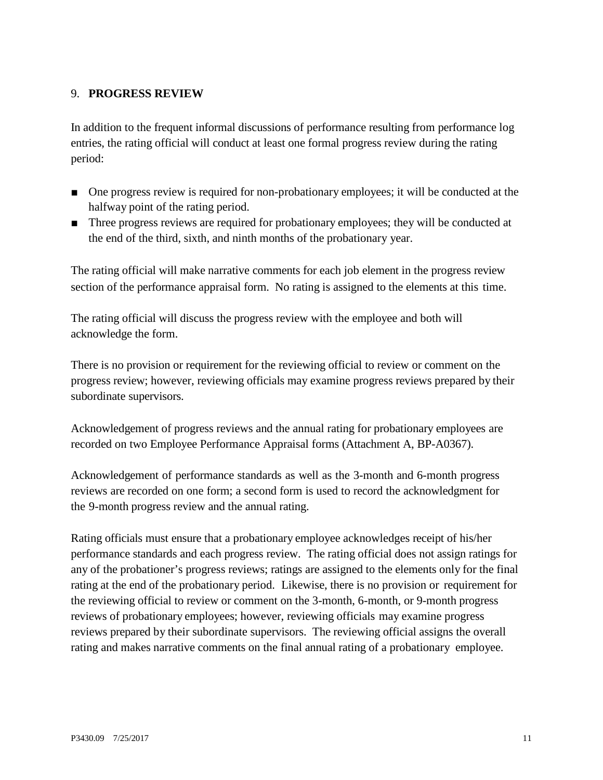#### <span id="page-10-0"></span>9. **PROGRESS REVIEW**

In addition to the frequent informal discussions of performance resulting from performance log entries, the rating official will conduct at least one formal progress review during the rating period:

- One progress review is required for non-probationary employees; it will be conducted at the halfway point of the rating period.
- Three progress reviews are required for probationary employees; they will be conducted at the end of the third, sixth, and ninth months of the probationary year.

The rating official will make narrative comments for each job element in the progress review section of the performance appraisal form. No rating is assigned to the elements at this time.

The rating official will discuss the progress review with the employee and both will acknowledge the form.

There is no provision or requirement for the reviewing official to review or comment on the progress review; however, reviewing officials may examine progress reviews prepared by their subordinate supervisors.

Acknowledgement of progress reviews and the annual rating for probationary employees are recorded on two Employee Performance Appraisal forms (Attachment A, BP-A0367).

Acknowledgement of performance standards as well as the 3-month and 6-month progress reviews are recorded on one form; a second form is used to record the acknowledgment for the 9-month progress review and the annual rating.

Rating officials must ensure that a probationary employee acknowledges receipt of his/her performance standards and each progress review. The rating official does not assign ratings for any of the probationer's progress reviews; ratings are assigned to the elements only for the final rating at the end of the probationary period. Likewise, there is no provision or requirement for the reviewing official to review or comment on the 3-month, 6-month, or 9-month progress reviews of probationary employees; however, reviewing officials may examine progress reviews prepared by their subordinate supervisors. The reviewing official assigns the overall rating and makes narrative comments on the final annual rating of a probationary employee.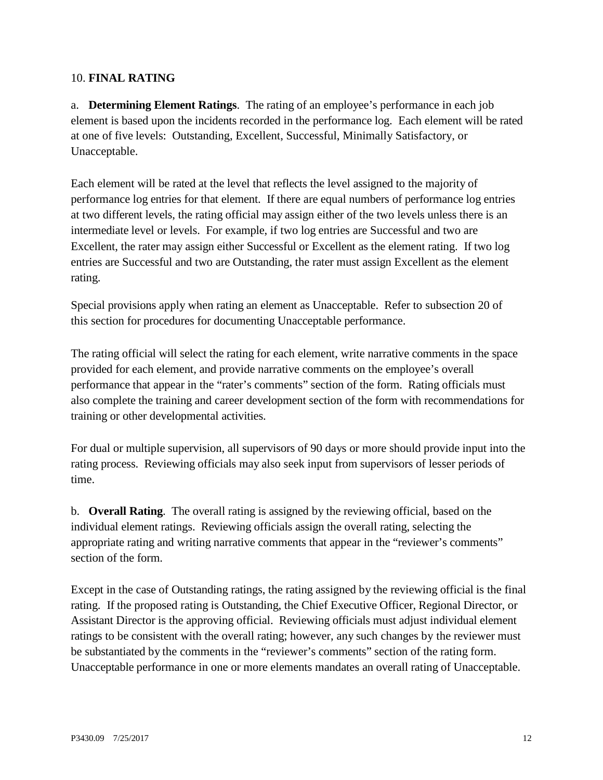#### <span id="page-11-0"></span>10. **FINAL RATING**

a. **Determining Element Ratings**. The rating of an employee's performance in each job element is based upon the incidents recorded in the performance log. Each element will be rated at one of five levels: Outstanding, Excellent, Successful, Minimally Satisfactory, or Unacceptable.

Each element will be rated at the level that reflects the level assigned to the majority of performance log entries for that element. If there are equal numbers of performance log entries at two different levels, the rating official may assign either of the two levels unless there is an intermediate level or levels. For example, if two log entries are Successful and two are Excellent, the rater may assign either Successful or Excellent as the element rating. If two log entries are Successful and two are Outstanding, the rater must assign Excellent as the element rating.

Special provisions apply when rating an element as Unacceptable. Refer to subsection 20 of this section for procedures for documenting Unacceptable performance.

The rating official will select the rating for each element, write narrative comments in the space provided for each element, and provide narrative comments on the employee's overall performance that appear in the "rater's comments" section of the form. Rating officials must also complete the training and career development section of the form with recommendations for training or other developmental activities.

For dual or multiple supervision, all supervisors of 90 days or more should provide input into the rating process. Reviewing officials may also seek input from supervisors of lesser periods of time.

b. **Overall Rating**. The overall rating is assigned by the reviewing official, based on the individual element ratings. Reviewing officials assign the overall rating, selecting the appropriate rating and writing narrative comments that appear in the "reviewer's comments" section of the form.

Except in the case of Outstanding ratings, the rating assigned by the reviewing official is the final rating. If the proposed rating is Outstanding, the Chief Executive Officer, Regional Director, or Assistant Director is the approving official. Reviewing officials must adjust individual element ratings to be consistent with the overall rating; however, any such changes by the reviewer must be substantiated by the comments in the "reviewer's comments" section of the rating form. Unacceptable performance in one or more elements mandates an overall rating of Unacceptable.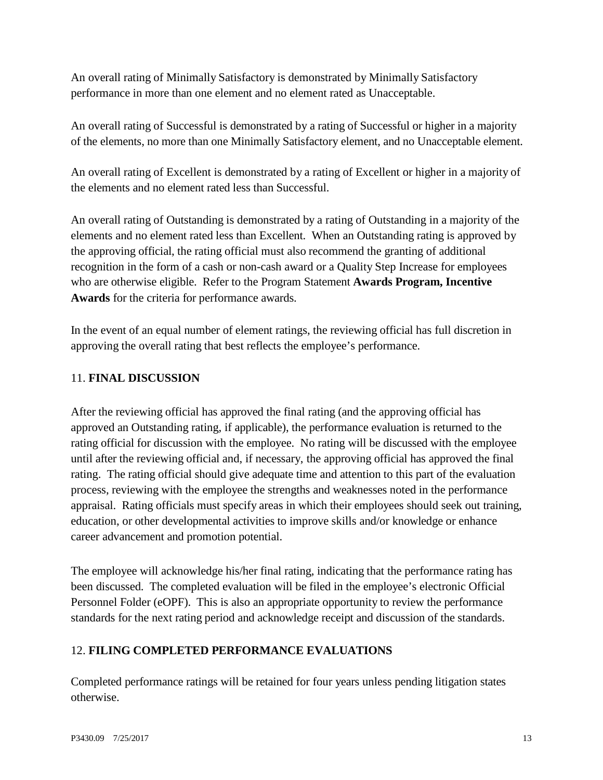An overall rating of Minimally Satisfactory is demonstrated by Minimally Satisfactory performance in more than one element and no element rated as Unacceptable.

An overall rating of Successful is demonstrated by a rating of Successful or higher in a majority of the elements, no more than one Minimally Satisfactory element, and no Unacceptable element.

An overall rating of Excellent is demonstrated by a rating of Excellent or higher in a majority of the elements and no element rated less than Successful.

An overall rating of Outstanding is demonstrated by a rating of Outstanding in a majority of the elements and no element rated less than Excellent. When an Outstanding rating is approved by the approving official, the rating official must also recommend the granting of additional recognition in the form of a cash or non-cash award or a Quality Step Increase for employees who are otherwise eligible. Refer to the Program Statement **Awards Program, Incentive Awards** for the criteria for performance awards.

In the event of an equal number of element ratings, the reviewing official has full discretion in approving the overall rating that best reflects the employee's performance.

#### <span id="page-12-0"></span>11. **FINAL DISCUSSION**

After the reviewing official has approved the final rating (and the approving official has approved an Outstanding rating, if applicable), the performance evaluation is returned to the rating official for discussion with the employee. No rating will be discussed with the employee until after the reviewing official and, if necessary, the approving official has approved the final rating. The rating official should give adequate time and attention to this part of the evaluation process, reviewing with the employee the strengths and weaknesses noted in the performance appraisal. Rating officials must specify areas in which their employees should seek out training, education, or other developmental activities to improve skills and/or knowledge or enhance career advancement and promotion potential.

The employee will acknowledge his/her final rating, indicating that the performance rating has been discussed. The completed evaluation will be filed in the employee's electronic Official Personnel Folder (eOPF). This is also an appropriate opportunity to review the performance standards for the next rating period and acknowledge receipt and discussion of the standards.

## <span id="page-12-1"></span>12. **FILING COMPLETED PERFORMANCE EVALUATIONS**

Completed performance ratings will be retained for four years unless pending litigation states otherwise.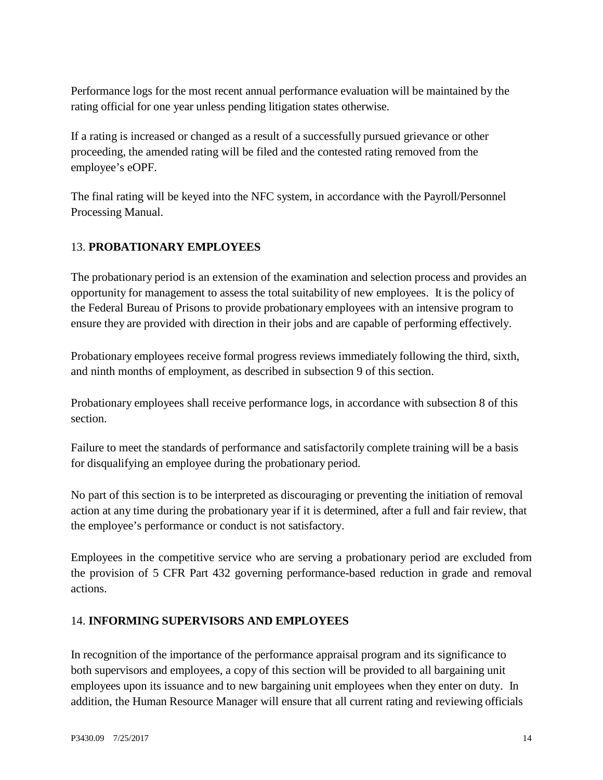Performance logs for the most recent annual performance evaluation will be maintained by the rating official for one year unless pending litigation states otherwise.

If a rating is increased or changed as a result of a successfully pursued grievance or other proceeding, the amended rating will be filed and the contested rating removed from the employee's eOPF.

The final rating will be keyed into the NFC system, in accordance with the Payroll/Personnel Processing Manual.

#### <span id="page-13-0"></span>13. **PROBATIONARY EMPLOYEES**

The probationary period is an extension of the examination and selection process and provides an opportunity for management to assess the total suitability of new employees. It is the policy of the Federal Bureau of Prisons to provide probationary employees with an intensive program to ensure they are provided with direction in their jobs and are capable of performing effectively.

Probationary employees receive formal progress reviews immediately following the third, sixth, and ninth months of employment, as described in subsection 9 of this section.

Probationary employees shall receive performance logs, in accordance with subsection 8 of this section.

Failure to meet the standards of performance and satisfactorily complete training will be a basis for disqualifying an employee during the probationary period.

No part of this section is to be interpreted as discouraging or preventing the initiation of removal action at any time during the probationary year if it is determined, after a full and fair review, that the employee's performance or conduct is not satisfactory.

Employees in the competitive service who are serving a probationary period are excluded from the provision of 5 CFR Part 432 governing performance-based reduction in grade and removal actions.

#### <span id="page-13-1"></span>14. **INFORMING SUPERVISORS AND EMPLOYEES**

In recognition of the importance of the performance appraisal program and its significance to both supervisors and employees, a copy of this section will be provided to all bargaining unit employees upon its issuance and to new bargaining unit employees when they enter on duty. In addition, the Human Resource Manager will ensure that all current rating and reviewing officials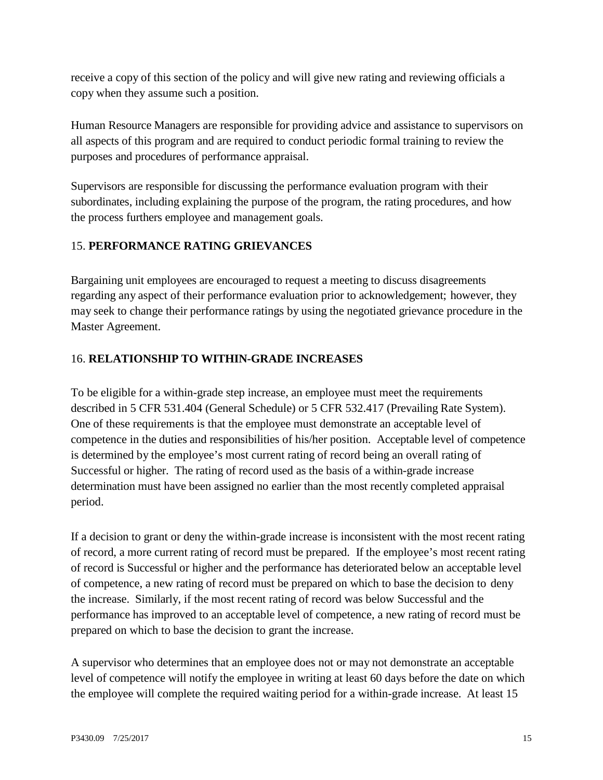receive a copy of this section of the policy and will give new rating and reviewing officials a copy when they assume such a position.

Human Resource Managers are responsible for providing advice and assistance to supervisors on all aspects of this program and are required to conduct periodic formal training to review the purposes and procedures of performance appraisal.

Supervisors are responsible for discussing the performance evaluation program with their subordinates, including explaining the purpose of the program, the rating procedures, and how the process furthers employee and management goals.

#### <span id="page-14-0"></span>15. **PERFORMANCE RATING GRIEVANCES**

Bargaining unit employees are encouraged to request a meeting to discuss disagreements regarding any aspect of their performance evaluation prior to acknowledgement; however, they may seek to change their performance ratings by using the negotiated grievance procedure in the Master Agreement.

#### <span id="page-14-1"></span>16. **RELATIONSHIP TO WITHIN-GRADE INCREASES**

To be eligible for a within-grade step increase, an employee must meet the requirements described in 5 CFR 531.404 (General Schedule) or 5 CFR 532.417 (Prevailing Rate System). One of these requirements is that the employee must demonstrate an acceptable level of competence in the duties and responsibilities of his/her position. Acceptable level of competence is determined by the employee's most current rating of record being an overall rating of Successful or higher. The rating of record used as the basis of a within-grade increase determination must have been assigned no earlier than the most recently completed appraisal period.

If a decision to grant or deny the within-grade increase is inconsistent with the most recent rating of record, a more current rating of record must be prepared. If the employee's most recent rating of record is Successful or higher and the performance has deteriorated below an acceptable level of competence, a new rating of record must be prepared on which to base the decision to deny the increase. Similarly, if the most recent rating of record was below Successful and the performance has improved to an acceptable level of competence, a new rating of record must be prepared on which to base the decision to grant the increase.

A supervisor who determines that an employee does not or may not demonstrate an acceptable level of competence will notify the employee in writing at least 60 days before the date on which the employee will complete the required waiting period for a within-grade increase. At least 15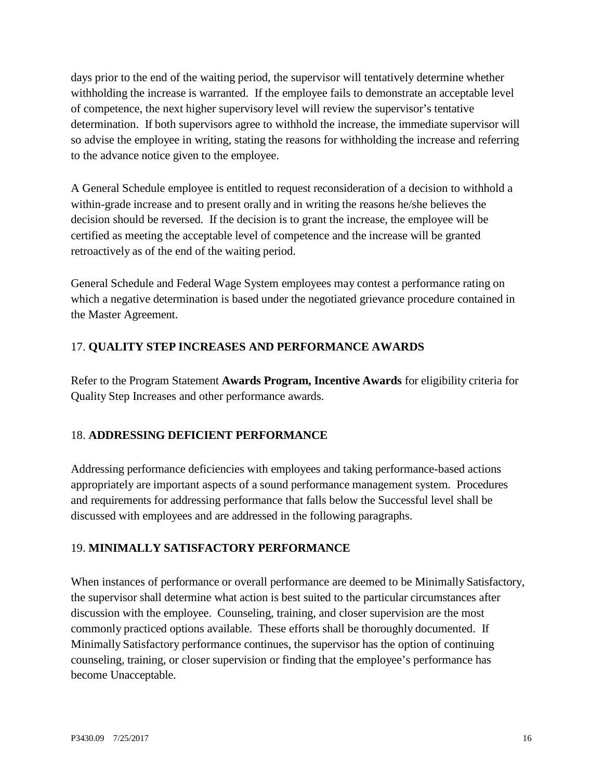days prior to the end of the waiting period, the supervisor will tentatively determine whether withholding the increase is warranted. If the employee fails to demonstrate an acceptable level of competence, the next higher supervisory level will review the supervisor's tentative determination. If both supervisors agree to withhold the increase, the immediate supervisor will so advise the employee in writing, stating the reasons for withholding the increase and referring to the advance notice given to the employee.

A General Schedule employee is entitled to request reconsideration of a decision to withhold a within-grade increase and to present orally and in writing the reasons he/she believes the decision should be reversed. If the decision is to grant the increase, the employee will be certified as meeting the acceptable level of competence and the increase will be granted retroactively as of the end of the waiting period.

General Schedule and Federal Wage System employees may contest a performance rating on which a negative determination is based under the negotiated grievance procedure contained in the Master Agreement.

#### <span id="page-15-0"></span>17. **QUALITY STEP INCREASES AND PERFORMANCE AWARDS**

Refer to the Program Statement **Awards Program, Incentive Awards** for eligibility criteria for Quality Step Increases and other performance awards.

#### <span id="page-15-1"></span>18. **ADDRESSING DEFICIENT PERFORMANCE**

Addressing performance deficiencies with employees and taking performance-based actions appropriately are important aspects of a sound performance management system. Procedures and requirements for addressing performance that falls below the Successful level shall be discussed with employees and are addressed in the following paragraphs.

#### <span id="page-15-2"></span>19. **MINIMALLY SATISFACTORY PERFORMANCE**

When instances of performance or overall performance are deemed to be Minimally Satisfactory, the supervisor shall determine what action is best suited to the particular circumstances after discussion with the employee. Counseling, training, and closer supervision are the most commonly practiced options available. These efforts shall be thoroughly documented. If Minimally Satisfactory performance continues, the supervisor has the option of continuing counseling, training, or closer supervision or finding that the employee's performance has become Unacceptable.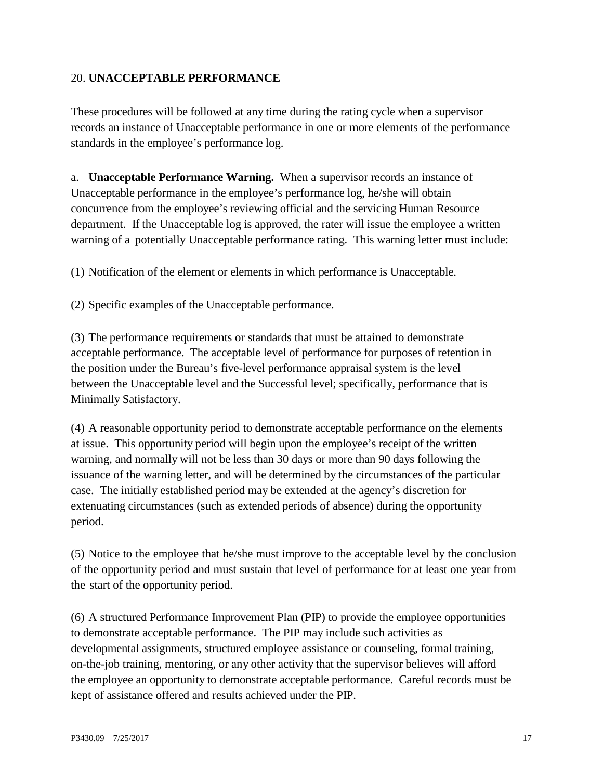#### <span id="page-16-0"></span>20. **UNACCEPTABLE PERFORMANCE**

These procedures will be followed at any time during the rating cycle when a supervisor records an instance of Unacceptable performance in one or more elements of the performance standards in the employee's performance log.

a. **Unacceptable Performance Warning.** When a supervisor records an instance of Unacceptable performance in the employee's performance log, he/she will obtain concurrence from the employee's reviewing official and the servicing Human Resource department. If the Unacceptable log is approved, the rater will issue the employee a written warning of a potentially Unacceptable performance rating. This warning letter must include:

(1) Notification of the element or elements in which performance is Unacceptable.

(2) Specific examples of the Unacceptable performance.

(3) The performance requirements or standards that must be attained to demonstrate acceptable performance. The acceptable level of performance for purposes of retention in the position under the Bureau's five-level performance appraisal system is the level between the Unacceptable level and the Successful level; specifically, performance that is Minimally Satisfactory.

(4) A reasonable opportunity period to demonstrate acceptable performance on the elements at issue. This opportunity period will begin upon the employee's receipt of the written warning, and normally will not be less than 30 days or more than 90 days following the issuance of the warning letter, and will be determined by the circumstances of the particular case. The initially established period may be extended at the agency's discretion for extenuating circumstances (such as extended periods of absence) during the opportunity period.

(5) Notice to the employee that he/she must improve to the acceptable level by the conclusion of the opportunity period and must sustain that level of performance for at least one year from the start of the opportunity period.

(6) A structured Performance Improvement Plan (PIP) to provide the employee opportunities to demonstrate acceptable performance. The PIP may include such activities as developmental assignments, structured employee assistance or counseling, formal training, on-the-job training, mentoring, or any other activity that the supervisor believes will afford the employee an opportunity to demonstrate acceptable performance. Careful records must be kept of assistance offered and results achieved under the PIP.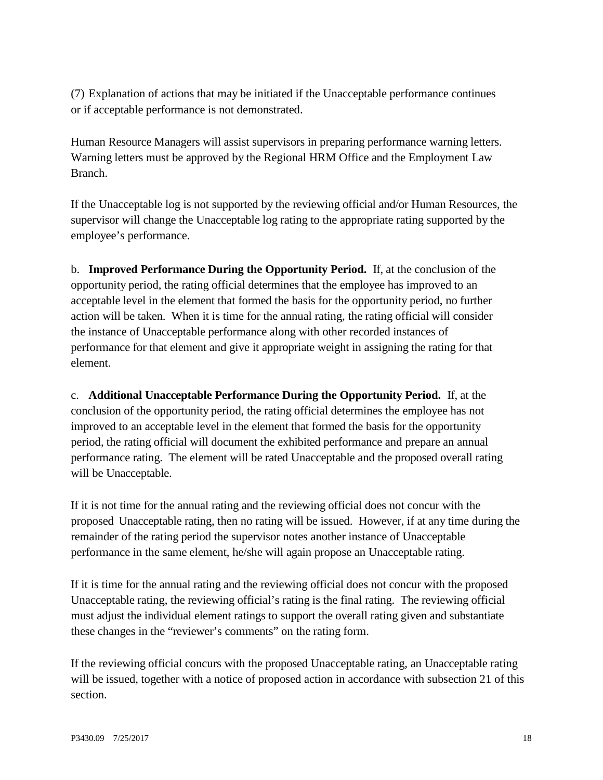(7) Explanation of actions that may be initiated if the Unacceptable performance continues or if acceptable performance is not demonstrated.

Human Resource Managers will assist supervisors in preparing performance warning letters. Warning letters must be approved by the Regional HRM Office and the Employment Law Branch.

If the Unacceptable log is not supported by the reviewing official and/or Human Resources, the supervisor will change the Unacceptable log rating to the appropriate rating supported by the employee's performance.

b. **Improved Performance During the Opportunity Period.** If, at the conclusion of the opportunity period, the rating official determines that the employee has improved to an acceptable level in the element that formed the basis for the opportunity period, no further action will be taken. When it is time for the annual rating, the rating official will consider the instance of Unacceptable performance along with other recorded instances of performance for that element and give it appropriate weight in assigning the rating for that element.

c. **Additional Unacceptable Performance During the Opportunity Period.** If, at the conclusion of the opportunity period, the rating official determines the employee has not improved to an acceptable level in the element that formed the basis for the opportunity period, the rating official will document the exhibited performance and prepare an annual performance rating. The element will be rated Unacceptable and the proposed overall rating will be Unacceptable.

If it is not time for the annual rating and the reviewing official does not concur with the proposed Unacceptable rating, then no rating will be issued. However, if at any time during the remainder of the rating period the supervisor notes another instance of Unacceptable performance in the same element, he/she will again propose an Unacceptable rating.

If it is time for the annual rating and the reviewing official does not concur with the proposed Unacceptable rating, the reviewing official's rating is the final rating. The reviewing official must adjust the individual element ratings to support the overall rating given and substantiate these changes in the "reviewer's comments" on the rating form.

If the reviewing official concurs with the proposed Unacceptable rating, an Unacceptable rating will be issued, together with a notice of proposed action in accordance with subsection 21 of this section.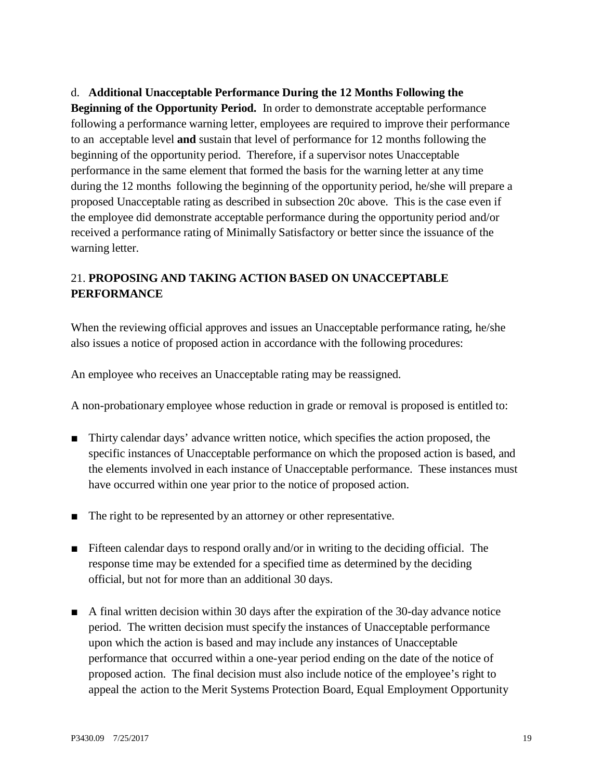#### d. **Additional Unacceptable Performance During the 12 Months Following the**

**Beginning of the Opportunity Period.** In order to demonstrate acceptable performance following a performance warning letter, employees are required to improve their performance to an acceptable level **and** sustain that level of performance for 12 months following the beginning of the opportunity period. Therefore, if a supervisor notes Unacceptable performance in the same element that formed the basis for the warning letter at any time during the 12 months following the beginning of the opportunity period, he/she will prepare a proposed Unacceptable rating as described in subsection 20c above. This is the case even if the employee did demonstrate acceptable performance during the opportunity period and/or received a performance rating of Minimally Satisfactory or better since the issuance of the warning letter.

#### <span id="page-18-0"></span>21. **PROPOSING AND TAKING ACTION BASED ON UNACCEPTABLE PERFORMANCE**

When the reviewing official approves and issues an Unacceptable performance rating, he/she also issues a notice of proposed action in accordance with the following procedures:

An employee who receives an Unacceptable rating may be reassigned.

A non-probationary employee whose reduction in grade or removal is proposed is entitled to:

- Thirty calendar days' advance written notice, which specifies the action proposed, the specific instances of Unacceptable performance on which the proposed action is based, and the elements involved in each instance of Unacceptable performance. These instances must have occurred within one year prior to the notice of proposed action.
- The right to be represented by an attorney or other representative.
- Fifteen calendar days to respond orally and/or in writing to the deciding official. The response time may be extended for a specified time as determined by the deciding official, but not for more than an additional 30 days.
- A final written decision within 30 days after the expiration of the 30-day advance notice period. The written decision must specify the instances of Unacceptable performance upon which the action is based and may include any instances of Unacceptable performance that occurred within a one-year period ending on the date of the notice of proposed action. The final decision must also include notice of the employee's right to appeal the action to the Merit Systems Protection Board, Equal Employment Opportunity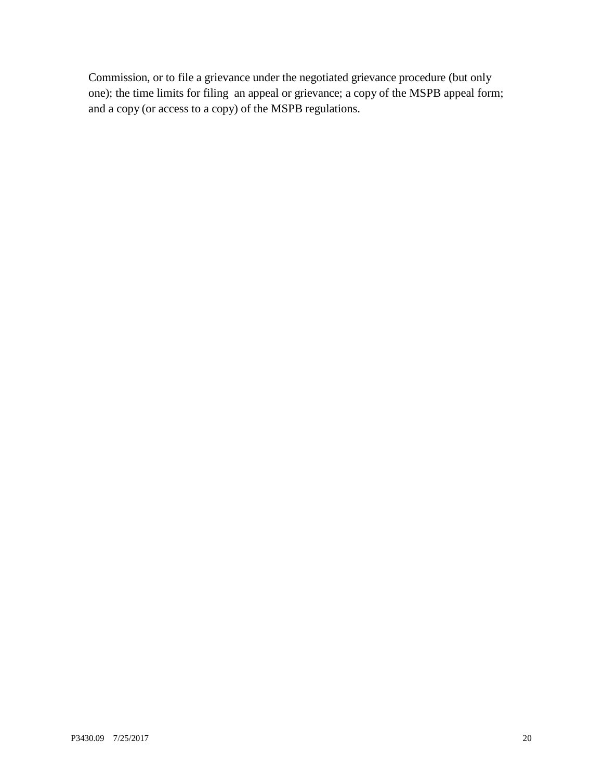Commission, or to file a grievance under the negotiated grievance procedure (but only one); the time limits for filing an appeal or grievance; a copy of the MSPB appeal form; and a copy (or access to a copy) of the MSPB regulations.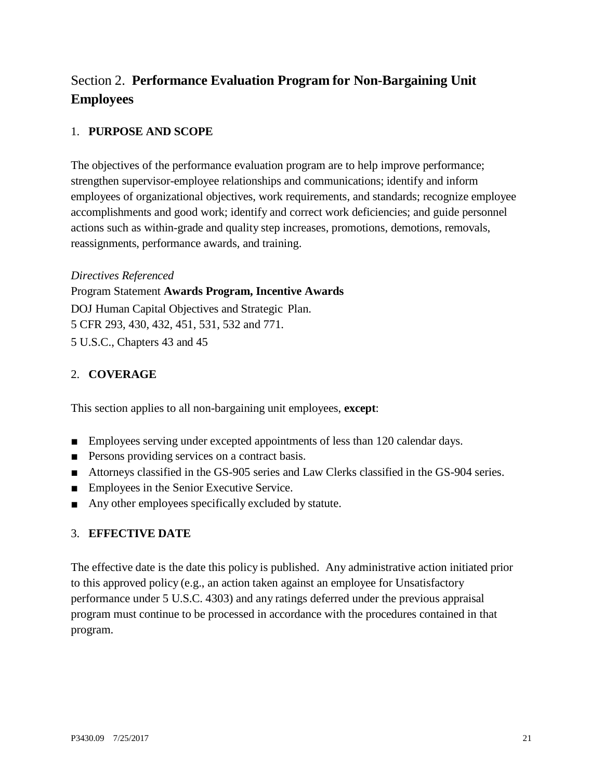# <span id="page-20-0"></span>Section 2. **Performance Evaluation Program for Non-Bargaining Unit Employees**

#### <span id="page-20-1"></span>1. **PURPOSE AND SCOPE**

The objectives of the performance evaluation program are to help improve performance; strengthen supervisor-employee relationships and communications; identify and inform employees of organizational objectives, work requirements, and standards; recognize employee accomplishments and good work; identify and correct work deficiencies; and guide personnel actions such as within-grade and quality step increases, promotions, demotions, removals, reassignments, performance awards, and training.

#### *Directives Referenced*

Program Statement **Awards Program, Incentive Awards** DOJ Human Capital Objectives and Strategic Plan.

5 CFR 293, 430, 432, 451, 531, 532 and 771.

5 U.S.C., Chapters 43 and 45

#### <span id="page-20-2"></span>2. **COVERAGE**

This section applies to all non-bargaining unit employees, **except**:

- Employees serving under excepted appointments of less than 120 calendar days.
- Persons providing services on a contract basis.
- Attorneys classified in the GS-905 series and Law Clerks classified in the GS-904 series.
- Employees in the Senior Executive Service.
- Any other employees specifically excluded by statute.

#### <span id="page-20-3"></span>3. **EFFECTIVE DATE**

The effective date is the date this policy is published. Any administrative action initiated prior to this approved policy (e.g., an action taken against an employee for Unsatisfactory performance under 5 U.S.C. 4303) and any ratings deferred under the previous appraisal program must continue to be processed in accordance with the procedures contained in that program.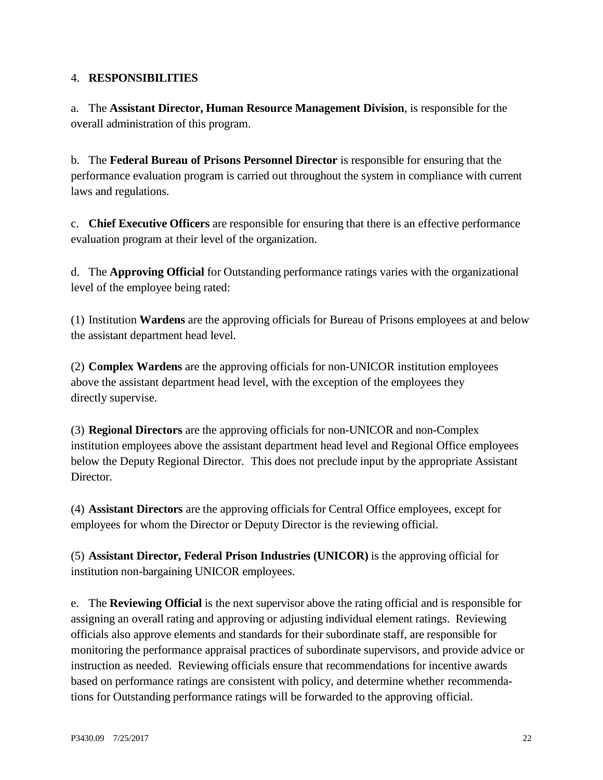#### <span id="page-21-0"></span>4. **RESPONSIBILITIES**

a. The **Assistant Director, Human Resource Management Division**, is responsible for the overall administration of this program.

b. The **Federal Bureau of Prisons Personnel Director** is responsible for ensuring that the performance evaluation program is carried out throughout the system in compliance with current laws and regulations.

c. **Chief Executive Officers** are responsible for ensuring that there is an effective performance evaluation program at their level of the organization.

d. The **Approving Official** for Outstanding performance ratings varies with the organizational level of the employee being rated:

(1) Institution **Wardens** are the approving officials for Bureau of Prisons employees at and below the assistant department head level.

(2) **Complex Wardens** are the approving officials for non-UNICOR institution employees above the assistant department head level, with the exception of the employees they directly supervise.

(3) **Regional Directors** are the approving officials for non-UNICOR and non-Complex institution employees above the assistant department head level and Regional Office employees below the Deputy Regional Director. This does not preclude input by the appropriate Assistant Director.

(4) **Assistant Directors** are the approving officials for Central Office employees, except for employees for whom the Director or Deputy Director is the reviewing official.

(5) **Assistant Director, Federal Prison Industries (UNICOR)** is the approving official for institution non-bargaining UNICOR employees.

e. The **Reviewing Official** is the next supervisor above the rating official and is responsible for assigning an overall rating and approving or adjusting individual element ratings. Reviewing officials also approve elements and standards for their subordinate staff, are responsible for monitoring the performance appraisal practices of subordinate supervisors, and provide advice or instruction as needed. Reviewing officials ensure that recommendations for incentive awards based on performance ratings are consistent with policy, and determine whether recommendations for Outstanding performance ratings will be forwarded to the approving official.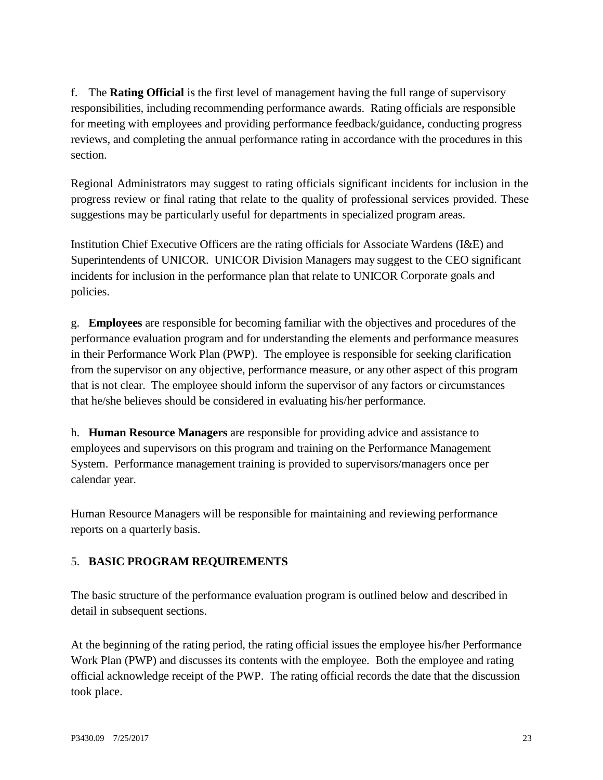f. The **Rating Official** is the first level of management having the full range of supervisory responsibilities, including recommending performance awards. Rating officials are responsible for meeting with employees and providing performance feedback/guidance, conducting progress reviews, and completing the annual performance rating in accordance with the procedures in this section.

Regional Administrators may suggest to rating officials significant incidents for inclusion in the progress review or final rating that relate to the quality of professional services provided. These suggestions may be particularly useful for departments in specialized program areas.

Institution Chief Executive Officers are the rating officials for Associate Wardens (I&E) and Superintendents of UNICOR. UNICOR Division Managers may suggest to the CEO significant incidents for inclusion in the performance plan that relate to UNICOR Corporate goals and policies.

g. **Employees** are responsible for becoming familiar with the objectives and procedures of the performance evaluation program and for understanding the elements and performance measures in their Performance Work Plan (PWP). The employee is responsible for seeking clarification from the supervisor on any objective, performance measure, or any other aspect of this program that is not clear. The employee should inform the supervisor of any factors or circumstances that he/she believes should be considered in evaluating his/her performance.

h. **Human Resource Managers** are responsible for providing advice and assistance to employees and supervisors on this program and training on the Performance Management System. Performance management training is provided to supervisors/managers once per calendar year.

Human Resource Managers will be responsible for maintaining and reviewing performance reports on a quarterly basis.

#### <span id="page-22-0"></span>5. **BASIC PROGRAM REQUIREMENTS**

The basic structure of the performance evaluation program is outlined below and described in detail in subsequent sections.

At the beginning of the rating period, the rating official issues the employee his/her Performance Work Plan (PWP) and discusses its contents with the employee. Both the employee and rating official acknowledge receipt of the PWP. The rating official records the date that the discussion took place.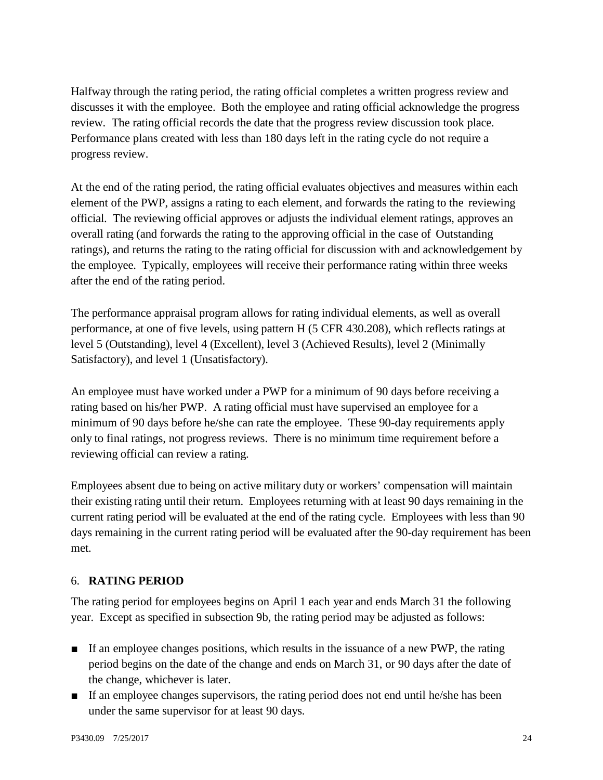Halfway through the rating period, the rating official completes a written progress review and discusses it with the employee. Both the employee and rating official acknowledge the progress review. The rating official records the date that the progress review discussion took place. Performance plans created with less than 180 days left in the rating cycle do not require a progress review.

At the end of the rating period, the rating official evaluates objectives and measures within each element of the PWP, assigns a rating to each element, and forwards the rating to the reviewing official. The reviewing official approves or adjusts the individual element ratings, approves an overall rating (and forwards the rating to the approving official in the case of Outstanding ratings), and returns the rating to the rating official for discussion with and acknowledgement by the employee. Typically, employees will receive their performance rating within three weeks after the end of the rating period.

The performance appraisal program allows for rating individual elements, as well as overall performance, at one of five levels, using pattern H (5 CFR 430.208), which reflects ratings at level 5 (Outstanding), level 4 (Excellent), level 3 (Achieved Results), level 2 (Minimally Satisfactory), and level 1 (Unsatisfactory).

An employee must have worked under a PWP for a minimum of 90 days before receiving a rating based on his/her PWP. A rating official must have supervised an employee for a minimum of 90 days before he/she can rate the employee. These 90-day requirements apply only to final ratings, not progress reviews. There is no minimum time requirement before a reviewing official can review a rating.

Employees absent due to being on active military duty or workers' compensation will maintain their existing rating until their return. Employees returning with at least 90 days remaining in the current rating period will be evaluated at the end of the rating cycle. Employees with less than 90 days remaining in the current rating period will be evaluated after the 90-day requirement has been met.

#### <span id="page-23-0"></span>6. **RATING PERIOD**

The rating period for employees begins on April 1 each year and ends March 31 the following year. Except as specified in subsection 9b, the rating period may be adjusted as follows:

- If an employee changes positions, which results in the issuance of a new PWP, the rating period begins on the date of the change and ends on March 31, or 90 days after the date of the change, whichever is later.
- If an employee changes supervisors, the rating period does not end until he/she has been under the same supervisor for at least 90 days.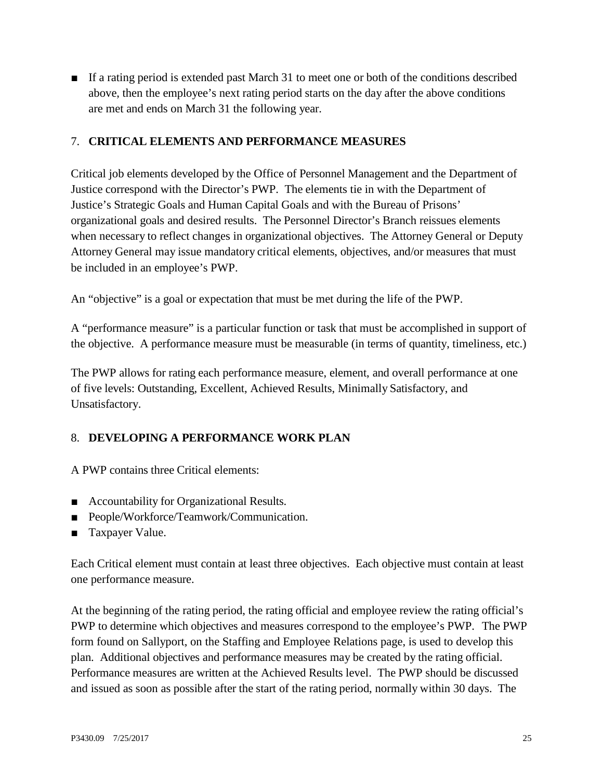■ If a rating period is extended past March 31 to meet one or both of the conditions described above, then the employee's next rating period starts on the day after the above conditions are met and ends on March 31 the following year.

#### <span id="page-24-0"></span>7. **CRITICAL ELEMENTS AND PERFORMANCE MEASURES**

Critical job elements developed by the Office of Personnel Management and the Department of Justice correspond with the Director's PWP. The elements tie in with the Department of Justice's Strategic Goals and Human Capital Goals and with the Bureau of Prisons' organizational goals and desired results. The Personnel Director's Branch reissues elements when necessary to reflect changes in organizational objectives. The Attorney General or Deputy Attorney General may issue mandatory critical elements, objectives, and/or measures that must be included in an employee's PWP.

An "objective" is a goal or expectation that must be met during the life of the PWP.

A "performance measure" is a particular function or task that must be accomplished in support of the objective. A performance measure must be measurable (in terms of quantity, timeliness, etc.)

The PWP allows for rating each performance measure, element, and overall performance at one of five levels: Outstanding, Excellent, Achieved Results, Minimally Satisfactory, and Unsatisfactory.

#### <span id="page-24-1"></span>8. **DEVELOPING A PERFORMANCE WORK PLAN**

A PWP contains three Critical elements:

- Accountability for Organizational Results.
- People/Workforce/Teamwork/Communication.
- Taxpayer Value.

Each Critical element must contain at least three objectives. Each objective must contain at least one performance measure.

At the beginning of the rating period, the rating official and employee review the rating official's PWP to determine which objectives and measures correspond to the employee's PWP. The PWP form found on Sallyport, on the Staffing and Employee Relations page, is used to develop this plan. Additional objectives and performance measures may be created by the rating official. Performance measures are written at the Achieved Results level. The PWP should be discussed and issued as soon as possible after the start of the rating period, normally within 30 days. The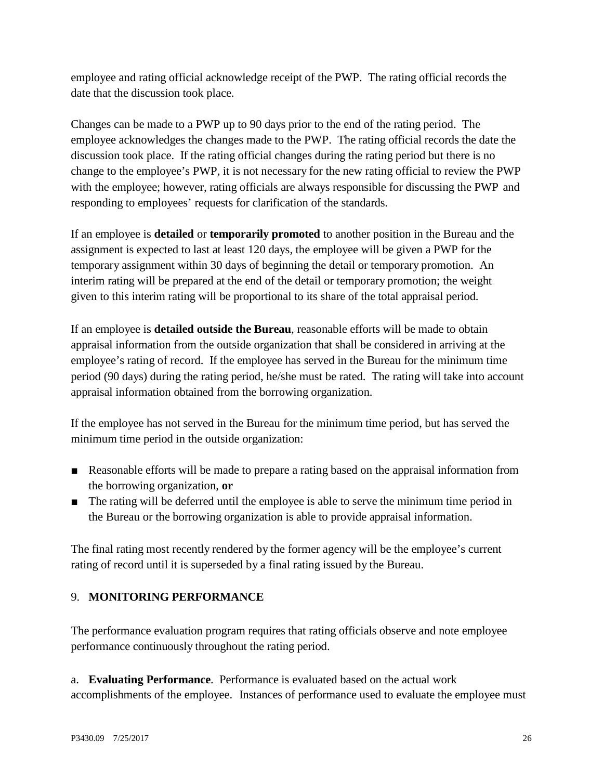employee and rating official acknowledge receipt of the PWP. The rating official records the date that the discussion took place.

Changes can be made to a PWP up to 90 days prior to the end of the rating period. The employee acknowledges the changes made to the PWP. The rating official records the date the discussion took place. If the rating official changes during the rating period but there is no change to the employee's PWP, it is not necessary for the new rating official to review the PWP with the employee; however, rating officials are always responsible for discussing the PWP and responding to employees' requests for clarification of the standards.

If an employee is **detailed** or **temporarily promoted** to another position in the Bureau and the assignment is expected to last at least 120 days, the employee will be given a PWP for the temporary assignment within 30 days of beginning the detail or temporary promotion. An interim rating will be prepared at the end of the detail or temporary promotion; the weight given to this interim rating will be proportional to its share of the total appraisal period.

If an employee is **detailed outside the Bureau**, reasonable efforts will be made to obtain appraisal information from the outside organization that shall be considered in arriving at the employee's rating of record. If the employee has served in the Bureau for the minimum time period (90 days) during the rating period, he/she must be rated. The rating will take into account appraisal information obtained from the borrowing organization.

If the employee has not served in the Bureau for the minimum time period, but has served the minimum time period in the outside organization:

- Reasonable efforts will be made to prepare a rating based on the appraisal information from the borrowing organization, **or**
- The rating will be deferred until the employee is able to serve the minimum time period in the Bureau or the borrowing organization is able to provide appraisal information.

The final rating most recently rendered by the former agency will be the employee's current rating of record until it is superseded by a final rating issued by the Bureau.

## <span id="page-25-0"></span>9. **MONITORING PERFORMANCE**

The performance evaluation program requires that rating officials observe and note employee performance continuously throughout the rating period.

a. **Evaluating Performance**. Performance is evaluated based on the actual work accomplishments of the employee. Instances of performance used to evaluate the employee must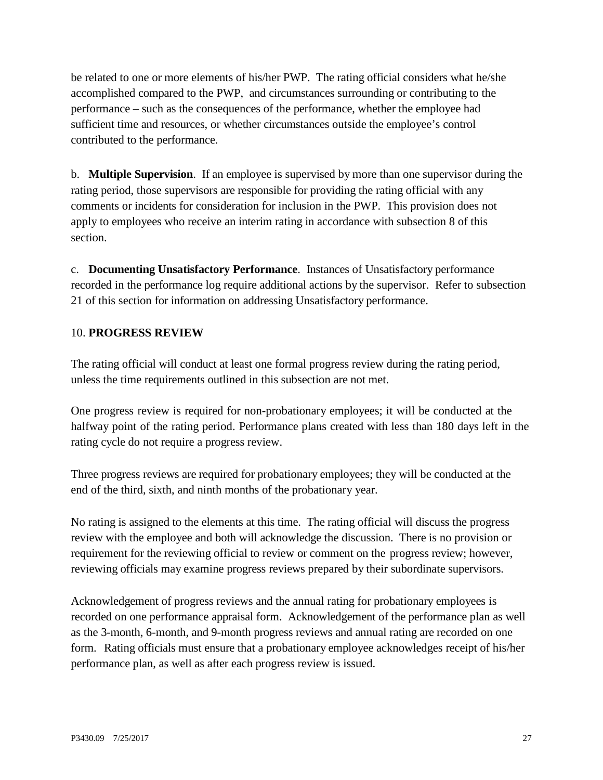be related to one or more elements of his/her PWP. The rating official considers what he/she accomplished compared to the PWP, and circumstances surrounding or contributing to the performance – such as the consequences of the performance, whether the employee had sufficient time and resources, or whether circumstances outside the employee's control contributed to the performance.

b. **Multiple Supervision**. If an employee is supervised by more than one supervisor during the rating period, those supervisors are responsible for providing the rating official with any comments or incidents for consideration for inclusion in the PWP. This provision does not apply to employees who receive an interim rating in accordance with subsection 8 of this section.

c. **Documenting Unsatisfactory Performance**. Instances of Unsatisfactory performance recorded in the performance log require additional actions by the supervisor. Refer to subsection 21 of this section for information on addressing Unsatisfactory performance.

#### <span id="page-26-0"></span>10. **PROGRESS REVIEW**

The rating official will conduct at least one formal progress review during the rating period, unless the time requirements outlined in this subsection are not met.

One progress review is required for non-probationary employees; it will be conducted at the halfway point of the rating period. Performance plans created with less than 180 days left in the rating cycle do not require a progress review.

Three progress reviews are required for probationary employees; they will be conducted at the end of the third, sixth, and ninth months of the probationary year.

No rating is assigned to the elements at this time. The rating official will discuss the progress review with the employee and both will acknowledge the discussion. There is no provision or requirement for the reviewing official to review or comment on the progress review; however, reviewing officials may examine progress reviews prepared by their subordinate supervisors.

Acknowledgement of progress reviews and the annual rating for probationary employees is recorded on one performance appraisal form. Acknowledgement of the performance plan as well as the 3-month, 6-month, and 9-month progress reviews and annual rating are recorded on one form. Rating officials must ensure that a probationary employee acknowledges receipt of his/her performance plan, as well as after each progress review is issued.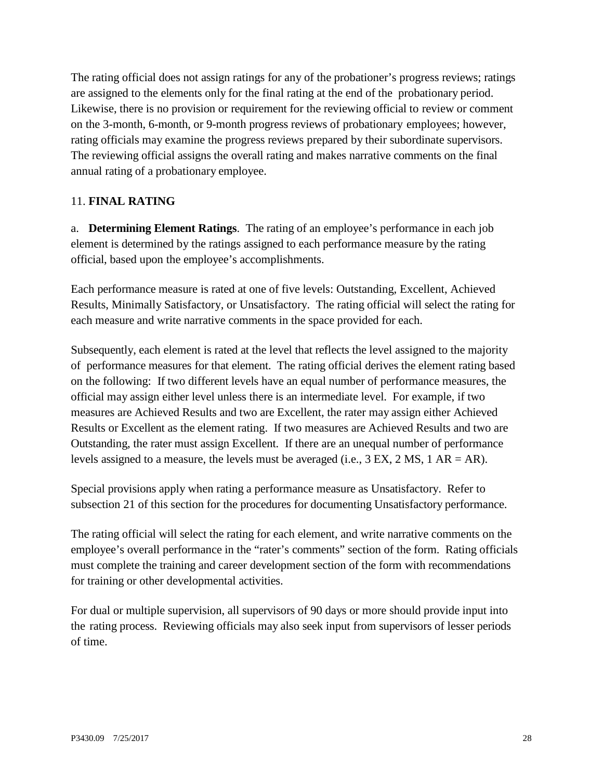The rating official does not assign ratings for any of the probationer's progress reviews; ratings are assigned to the elements only for the final rating at the end of the probationary period. Likewise, there is no provision or requirement for the reviewing official to review or comment on the 3-month, 6-month, or 9-month progress reviews of probationary employees; however, rating officials may examine the progress reviews prepared by their subordinate supervisors. The reviewing official assigns the overall rating and makes narrative comments on the final annual rating of a probationary employee.

#### <span id="page-27-0"></span>11. **FINAL RATING**

a. **Determining Element Ratings**. The rating of an employee's performance in each job element is determined by the ratings assigned to each performance measure by the rating official, based upon the employee's accomplishments.

Each performance measure is rated at one of five levels: Outstanding, Excellent, Achieved Results, Minimally Satisfactory, or Unsatisfactory. The rating official will select the rating for each measure and write narrative comments in the space provided for each.

Subsequently, each element is rated at the level that reflects the level assigned to the majority of performance measures for that element. The rating official derives the element rating based on the following: If two different levels have an equal number of performance measures, the official may assign either level unless there is an intermediate level. For example, if two measures are Achieved Results and two are Excellent, the rater may assign either Achieved Results or Excellent as the element rating. If two measures are Achieved Results and two are Outstanding, the rater must assign Excellent. If there are an unequal number of performance levels assigned to a measure, the levels must be averaged (i.e., 3 EX, 2 MS, 1 AR = AR).

Special provisions apply when rating a performance measure as Unsatisfactory. Refer to subsection 21 of this section for the procedures for documenting Unsatisfactory performance.

The rating official will select the rating for each element, and write narrative comments on the employee's overall performance in the "rater's comments" section of the form. Rating officials must complete the training and career development section of the form with recommendations for training or other developmental activities.

For dual or multiple supervision, all supervisors of 90 days or more should provide input into the rating process. Reviewing officials may also seek input from supervisors of lesser periods of time.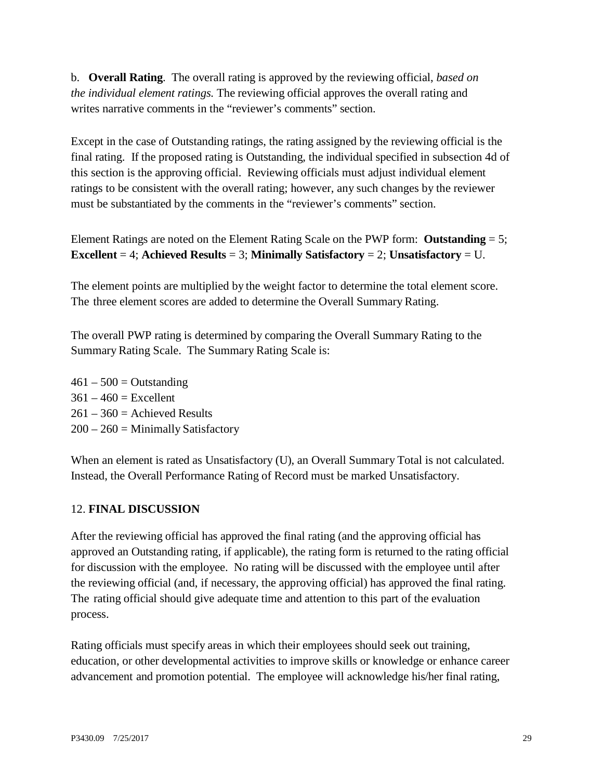b. **Overall Rating**. The overall rating is approved by the reviewing official, *based on the individual element ratings.* The reviewing official approves the overall rating and writes narrative comments in the "reviewer's comments" section.

Except in the case of Outstanding ratings, the rating assigned by the reviewing official is the final rating. If the proposed rating is Outstanding, the individual specified in subsection 4d of this section is the approving official. Reviewing officials must adjust individual element ratings to be consistent with the overall rating; however, any such changes by the reviewer must be substantiated by the comments in the "reviewer's comments" section.

Element Ratings are noted on the Element Rating Scale on the PWP form: **Outstanding** = 5; **Excellent** = 4; **Achieved Results** = 3; **Minimally Satisfactory** = 2; **Unsatisfactory** = U.

The element points are multiplied by the weight factor to determine the total element score. The three element scores are added to determine the Overall Summary Rating.

The overall PWP rating is determined by comparing the Overall Summary Rating to the Summary Rating Scale. The Summary Rating Scale is:

 $461 - 500 =$ Outstanding  $361 - 460 =$  Excellent  $261 - 360 =$  Achieved Results  $200 - 260 =$  Minimally Satisfactory

When an element is rated as Unsatisfactory (U), an Overall Summary Total is not calculated. Instead, the Overall Performance Rating of Record must be marked Unsatisfactory.

#### <span id="page-28-0"></span>12. **FINAL DISCUSSION**

After the reviewing official has approved the final rating (and the approving official has approved an Outstanding rating, if applicable), the rating form is returned to the rating official for discussion with the employee. No rating will be discussed with the employee until after the reviewing official (and, if necessary, the approving official) has approved the final rating. The rating official should give adequate time and attention to this part of the evaluation process.

Rating officials must specify areas in which their employees should seek out training, education, or other developmental activities to improve skills or knowledge or enhance career advancement and promotion potential. The employee will acknowledge his/her final rating,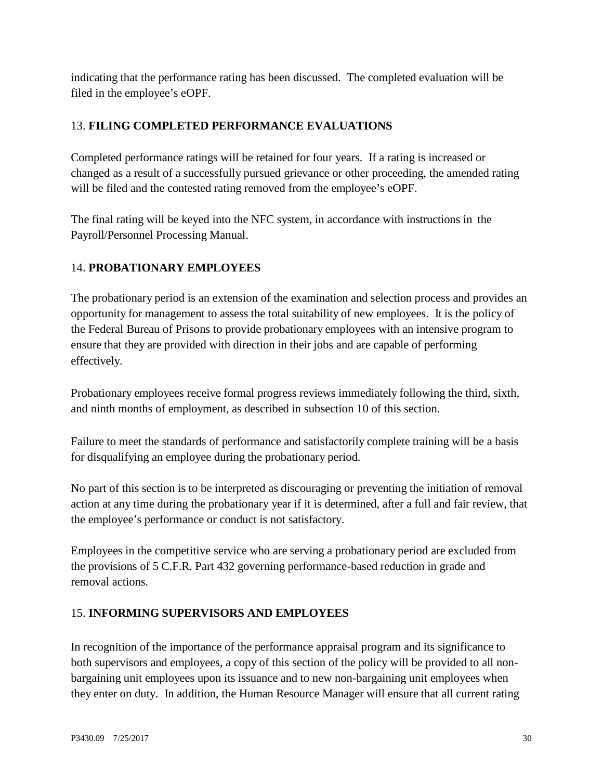indicating that the performance rating has been discussed. The completed evaluation will be filed in the employee's eOPF.

#### <span id="page-29-0"></span>13. **FILING COMPLETED PERFORMANCE EVALUATIONS**

Completed performance ratings will be retained for four years. If a rating is increased or changed as a result of a successfully pursued grievance or other proceeding, the amended rating will be filed and the contested rating removed from the employee's eOPF.

The final rating will be keyed into the NFC system, in accordance with instructions in the Payroll/Personnel Processing Manual.

#### <span id="page-29-1"></span>14. **PROBATIONARY EMPLOYEES**

The probationary period is an extension of the examination and selection process and provides an opportunity for management to assess the total suitability of new employees. It is the policy of the Federal Bureau of Prisons to provide probationary employees with an intensive program to ensure that they are provided with direction in their jobs and are capable of performing effectively.

Probationary employees receive formal progress reviews immediately following the third, sixth, and ninth months of employment, as described in subsection 10 of this section.

Failure to meet the standards of performance and satisfactorily complete training will be a basis for disqualifying an employee during the probationary period.

No part of this section is to be interpreted as discouraging or preventing the initiation of removal action at any time during the probationary year if it is determined, after a full and fair review, that the employee's performance or conduct is not satisfactory.

Employees in the competitive service who are serving a probationary period are excluded from the provisions of 5 C.F.R. Part 432 governing performance-based reduction in grade and removal actions.

#### <span id="page-29-2"></span>15. **INFORMING SUPERVISORS AND EMPLOYEES**

In recognition of the importance of the performance appraisal program and its significance to both supervisors and employees, a copy of this section of the policy will be provided to all nonbargaining unit employees upon its issuance and to new non-bargaining unit employees when they enter on duty. In addition, the Human Resource Manager will ensure that all current rating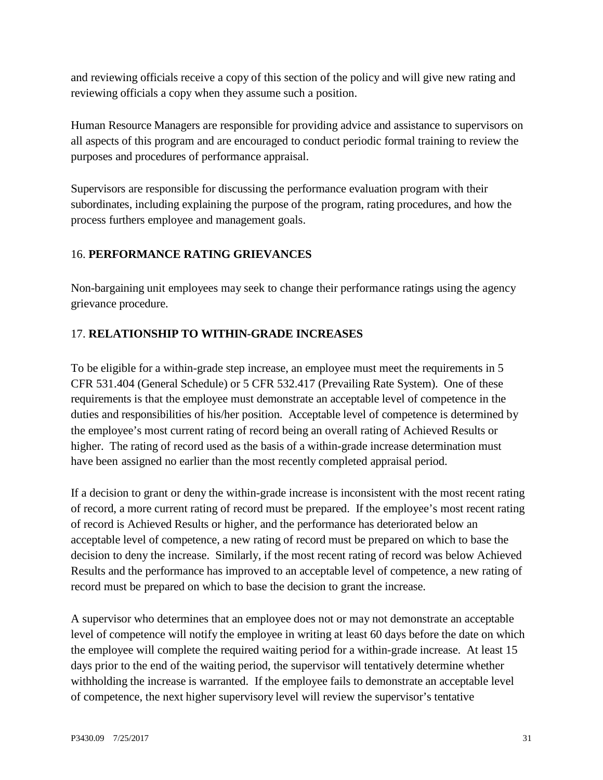and reviewing officials receive a copy of this section of the policy and will give new rating and reviewing officials a copy when they assume such a position.

Human Resource Managers are responsible for providing advice and assistance to supervisors on all aspects of this program and are encouraged to conduct periodic formal training to review the purposes and procedures of performance appraisal.

Supervisors are responsible for discussing the performance evaluation program with their subordinates, including explaining the purpose of the program, rating procedures, and how the process furthers employee and management goals.

## <span id="page-30-0"></span>16. **PERFORMANCE RATING GRIEVANCES**

Non-bargaining unit employees may seek to change their performance ratings using the agency grievance procedure.

## <span id="page-30-1"></span>17. **RELATIONSHIP TO WITHIN-GRADE INCREASES**

To be eligible for a within-grade step increase, an employee must meet the requirements in 5 CFR 531.404 (General Schedule) or 5 CFR 532.417 (Prevailing Rate System). One of these requirements is that the employee must demonstrate an acceptable level of competence in the duties and responsibilities of his/her position. Acceptable level of competence is determined by the employee's most current rating of record being an overall rating of Achieved Results or higher. The rating of record used as the basis of a within-grade increase determination must have been assigned no earlier than the most recently completed appraisal period.

If a decision to grant or deny the within-grade increase is inconsistent with the most recent rating of record, a more current rating of record must be prepared. If the employee's most recent rating of record is Achieved Results or higher, and the performance has deteriorated below an acceptable level of competence, a new rating of record must be prepared on which to base the decision to deny the increase. Similarly, if the most recent rating of record was below Achieved Results and the performance has improved to an acceptable level of competence, a new rating of record must be prepared on which to base the decision to grant the increase.

A supervisor who determines that an employee does not or may not demonstrate an acceptable level of competence will notify the employee in writing at least 60 days before the date on which the employee will complete the required waiting period for a within-grade increase. At least 15 days prior to the end of the waiting period, the supervisor will tentatively determine whether withholding the increase is warranted. If the employee fails to demonstrate an acceptable level of competence, the next higher supervisory level will review the supervisor's tentative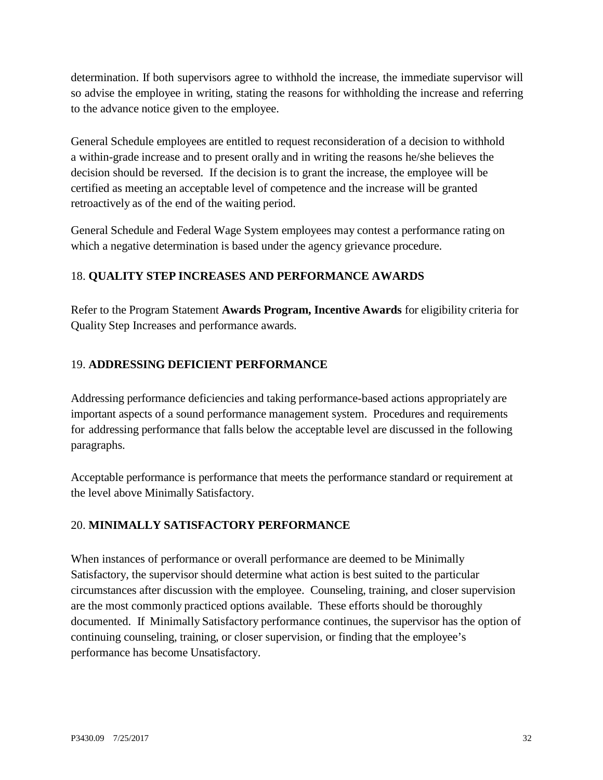determination. If both supervisors agree to withhold the increase, the immediate supervisor will so advise the employee in writing, stating the reasons for withholding the increase and referring to the advance notice given to the employee.

General Schedule employees are entitled to request reconsideration of a decision to withhold a within-grade increase and to present orally and in writing the reasons he/she believes the decision should be reversed. If the decision is to grant the increase, the employee will be certified as meeting an acceptable level of competence and the increase will be granted retroactively as of the end of the waiting period.

General Schedule and Federal Wage System employees may contest a performance rating on which a negative determination is based under the agency grievance procedure.

## <span id="page-31-0"></span>18. **QUALITY STEP INCREASES AND PERFORMANCE AWARDS**

Refer to the Program Statement **Awards Program, Incentive Awards** for eligibility criteria for Quality Step Increases and performance awards.

#### <span id="page-31-1"></span>19. **ADDRESSING DEFICIENT PERFORMANCE**

Addressing performance deficiencies and taking performance-based actions appropriately are important aspects of a sound performance management system. Procedures and requirements for addressing performance that falls below the acceptable level are discussed in the following paragraphs.

Acceptable performance is performance that meets the performance standard or requirement at the level above Minimally Satisfactory.

#### <span id="page-31-2"></span>20. **MINIMALLY SATISFACTORY PERFORMANCE**

When instances of performance or overall performance are deemed to be Minimally Satisfactory, the supervisor should determine what action is best suited to the particular circumstances after discussion with the employee. Counseling, training, and closer supervision are the most commonly practiced options available. These efforts should be thoroughly documented. If Minimally Satisfactory performance continues, the supervisor has the option of continuing counseling, training, or closer supervision, or finding that the employee's performance has become Unsatisfactory.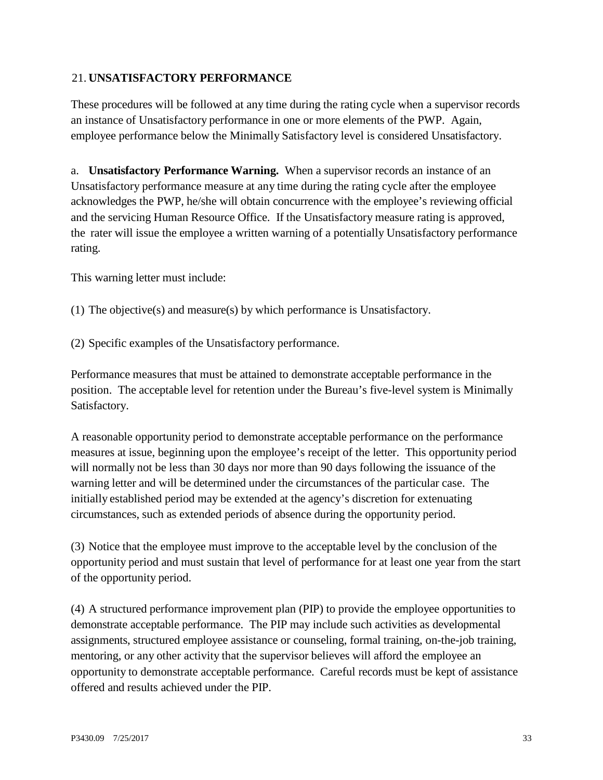#### <span id="page-32-0"></span>21. **UNSATISFACTORY PERFORMANCE**

These procedures will be followed at any time during the rating cycle when a supervisor records an instance of Unsatisfactory performance in one or more elements of the PWP. Again, employee performance below the Minimally Satisfactory level is considered Unsatisfactory.

a. **Unsatisfactory Performance Warning.** When a supervisor records an instance of an Unsatisfactory performance measure at any time during the rating cycle after the employee acknowledges the PWP, he/she will obtain concurrence with the employee's reviewing official and the servicing Human Resource Office. If the Unsatisfactory measure rating is approved, the rater will issue the employee a written warning of a potentially Unsatisfactory performance rating.

This warning letter must include:

(1) The objective(s) and measure(s) by which performance is Unsatisfactory.

(2) Specific examples of the Unsatisfactory performance.

Performance measures that must be attained to demonstrate acceptable performance in the position. The acceptable level for retention under the Bureau's five-level system is Minimally Satisfactory.

A reasonable opportunity period to demonstrate acceptable performance on the performance measures at issue, beginning upon the employee's receipt of the letter. This opportunity period will normally not be less than 30 days nor more than 90 days following the issuance of the warning letter and will be determined under the circumstances of the particular case. The initially established period may be extended at the agency's discretion for extenuating circumstances, such as extended periods of absence during the opportunity period.

(3) Notice that the employee must improve to the acceptable level by the conclusion of the opportunity period and must sustain that level of performance for at least one year from the start of the opportunity period.

(4) A structured performance improvement plan (PIP) to provide the employee opportunities to demonstrate acceptable performance. The PIP may include such activities as developmental assignments, structured employee assistance or counseling, formal training, on-the-job training, mentoring, or any other activity that the supervisor believes will afford the employee an opportunity to demonstrate acceptable performance. Careful records must be kept of assistance offered and results achieved under the PIP.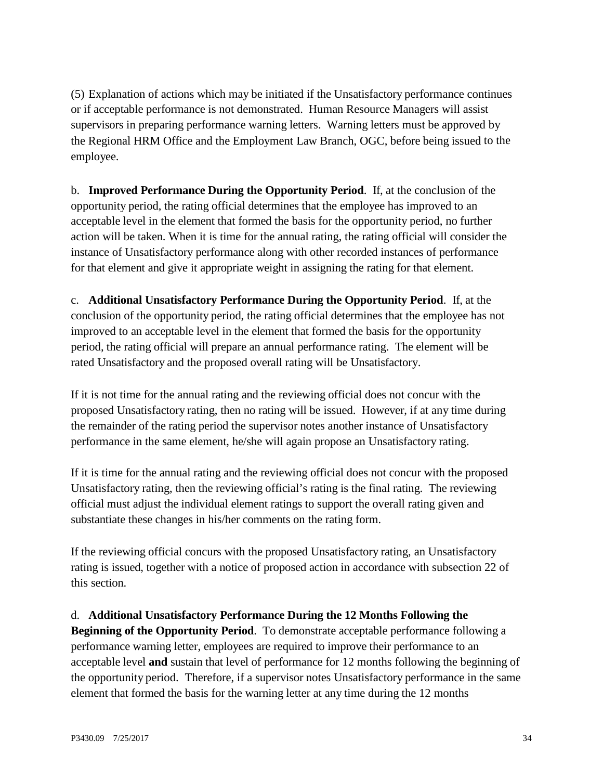(5) Explanation of actions which may be initiated if the Unsatisfactory performance continues or if acceptable performance is not demonstrated. Human Resource Managers will assist supervisors in preparing performance warning letters. Warning letters must be approved by the Regional HRM Office and the Employment Law Branch, OGC, before being issued to the employee.

b. **Improved Performance During the Opportunity Period**. If, at the conclusion of the opportunity period, the rating official determines that the employee has improved to an acceptable level in the element that formed the basis for the opportunity period, no further action will be taken. When it is time for the annual rating, the rating official will consider the instance of Unsatisfactory performance along with other recorded instances of performance for that element and give it appropriate weight in assigning the rating for that element.

c. **Additional Unsatisfactory Performance During the Opportunity Period**. If, at the conclusion of the opportunity period, the rating official determines that the employee has not improved to an acceptable level in the element that formed the basis for the opportunity period, the rating official will prepare an annual performance rating. The element will be rated Unsatisfactory and the proposed overall rating will be Unsatisfactory.

If it is not time for the annual rating and the reviewing official does not concur with the proposed Unsatisfactory rating, then no rating will be issued. However, if at any time during the remainder of the rating period the supervisor notes another instance of Unsatisfactory performance in the same element, he/she will again propose an Unsatisfactory rating.

If it is time for the annual rating and the reviewing official does not concur with the proposed Unsatisfactory rating, then the reviewing official's rating is the final rating. The reviewing official must adjust the individual element ratings to support the overall rating given and substantiate these changes in his/her comments on the rating form.

If the reviewing official concurs with the proposed Unsatisfactory rating, an Unsatisfactory rating is issued, together with a notice of proposed action in accordance with subsection 22 of this section.

#### d. **Additional Unsatisfactory Performance During the 12 Months Following the**

**Beginning of the Opportunity Period**. To demonstrate acceptable performance following a performance warning letter, employees are required to improve their performance to an acceptable level **and** sustain that level of performance for 12 months following the beginning of the opportunity period. Therefore, if a supervisor notes Unsatisfactory performance in the same element that formed the basis for the warning letter at any time during the 12 months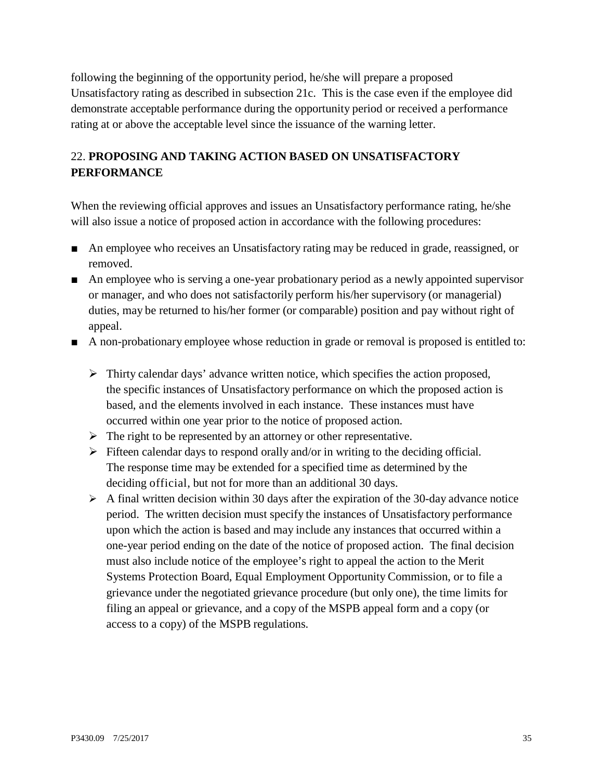following the beginning of the opportunity period, he/she will prepare a proposed Unsatisfactory rating as described in subsection 21c. This is the case even if the employee did demonstrate acceptable performance during the opportunity period or received a performance rating at or above the acceptable level since the issuance of the warning letter.

# <span id="page-34-0"></span>22. **PROPOSING AND TAKING ACTION BASED ON UNSATISFACTORY PERFORMANCE**

When the reviewing official approves and issues an Unsatisfactory performance rating, he/she will also issue a notice of proposed action in accordance with the following procedures:

- An employee who receives an Unsatisfactory rating may be reduced in grade, reassigned, or removed.
- An employee who is serving a one-year probationary period as a newly appointed supervisor or manager, and who does not satisfactorily perform his/her supervisory (or managerial) duties, may be returned to his/her former (or comparable) position and pay without right of appeal.
- A non-probationary employee whose reduction in grade or removal is proposed is entitled to:
	- $\triangleright$  Thirty calendar days' advance written notice, which specifies the action proposed, the specific instances of Unsatisfactory performance on which the proposed action is based, and the elements involved in each instance. These instances must have occurred within one year prior to the notice of proposed action.
	- $\triangleright$  The right to be represented by an attorney or other representative.
	- $\triangleright$  Fifteen calendar days to respond orally and/or in writing to the deciding official. The response time may be extended for a specified time as determined by the deciding official, but not for more than an additional 30 days.
	- $\triangleright$  A final written decision within 30 days after the expiration of the 30-day advance notice period. The written decision must specify the instances of Unsatisfactory performance upon which the action is based and may include any instances that occurred within a one-year period ending on the date of the notice of proposed action. The final decision must also include notice of the employee's right to appeal the action to the Merit Systems Protection Board, Equal Employment Opportunity Commission, or to file a grievance under the negotiated grievance procedure (but only one), the time limits for filing an appeal or grievance, and a copy of the MSPB appeal form and a copy (or access to a copy) of the MSPB regulations.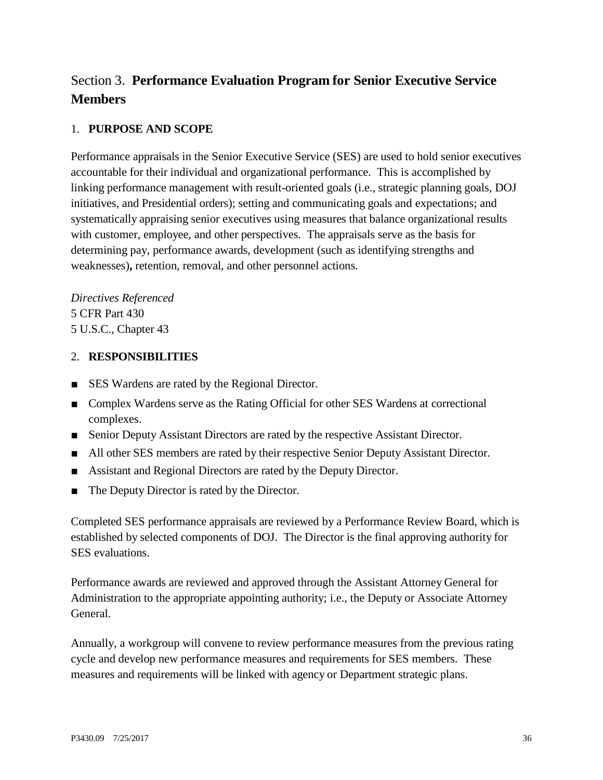# <span id="page-35-0"></span>Section 3. **Performance Evaluation Program for Senior Executive Service Members**

#### 1. **PURPOSE AND SCOPE**

Performance appraisals in the Senior Executive Service (SES) are used to hold senior executives accountable for their individual and organizational performance. This is accomplished by linking performance management with result-oriented goals (i.e., strategic planning goals, DOJ initiatives, and Presidential orders); setting and communicating goals and expectations; and systematically appraising senior executives using measures that balance organizational results with customer, employee, and other perspectives. The appraisals serve as the basis for determining pay, performance awards, development (such as identifying strengths and weaknesses)**,** retention, removal, and other personnel actions.

*Directives Referenced* 5 CFR Part 430 5 U.S.C., Chapter 43

#### 2. **RESPONSIBILITIES**

- SES Wardens are rated by the Regional Director.
- Complex Wardens serve as the Rating Official for other SES Wardens at correctional complexes.
- Senior Deputy Assistant Directors are rated by the respective Assistant Director.
- All other SES members are rated by their respective Senior Deputy Assistant Director.
- Assistant and Regional Directors are rated by the Deputy Director.
- The Deputy Director is rated by the Director.

Completed SES performance appraisals are reviewed by a Performance Review Board, which is established by selected components of DOJ. The Director is the final approving authority for SES evaluations.

Performance awards are reviewed and approved through the Assistant Attorney General for Administration to the appropriate appointing authority; i.e., the Deputy or Associate Attorney General.

Annually, a workgroup will convene to review performance measures from the previous rating cycle and develop new performance measures and requirements for SES members. These measures and requirements will be linked with agency or Department strategic plans.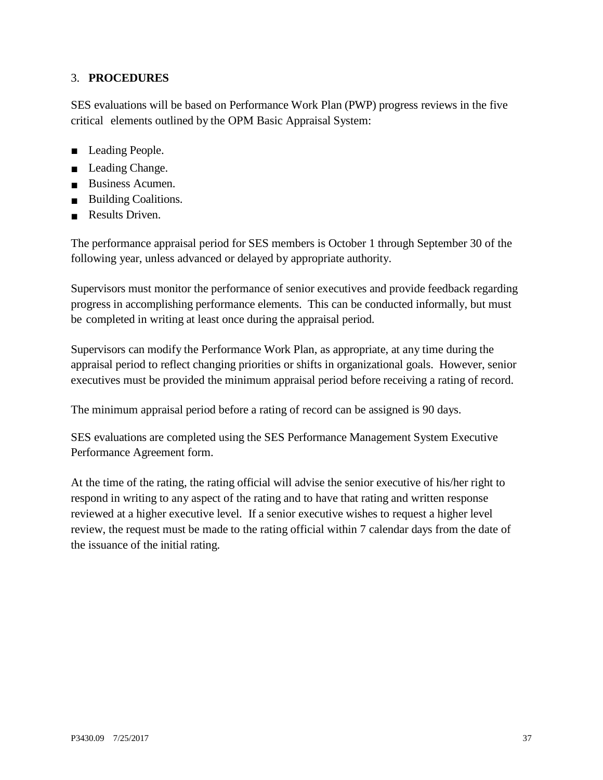#### 3. **PROCEDURES**

SES evaluations will be based on Performance Work Plan (PWP) progress reviews in the five critical elements outlined by the OPM Basic Appraisal System:

- Leading People.
- Leading Change.
- Business Acumen.
- Building Coalitions.
- Results Driven.

The performance appraisal period for SES members is October 1 through September 30 of the following year, unless advanced or delayed by appropriate authority.

Supervisors must monitor the performance of senior executives and provide feedback regarding progress in accomplishing performance elements. This can be conducted informally, but must be completed in writing at least once during the appraisal period.

Supervisors can modify the Performance Work Plan, as appropriate, at any time during the appraisal period to reflect changing priorities or shifts in organizational goals. However, senior executives must be provided the minimum appraisal period before receiving a rating of record.

The minimum appraisal period before a rating of record can be assigned is 90 days.

SES evaluations are completed using the SES Performance Management System Executive Performance Agreement form.

At the time of the rating, the rating official will advise the senior executive of his/her right to respond in writing to any aspect of the rating and to have that rating and written response reviewed at a higher executive level. If a senior executive wishes to request a higher level review, the request must be made to the rating official within 7 calendar days from the date of the issuance of the initial rating.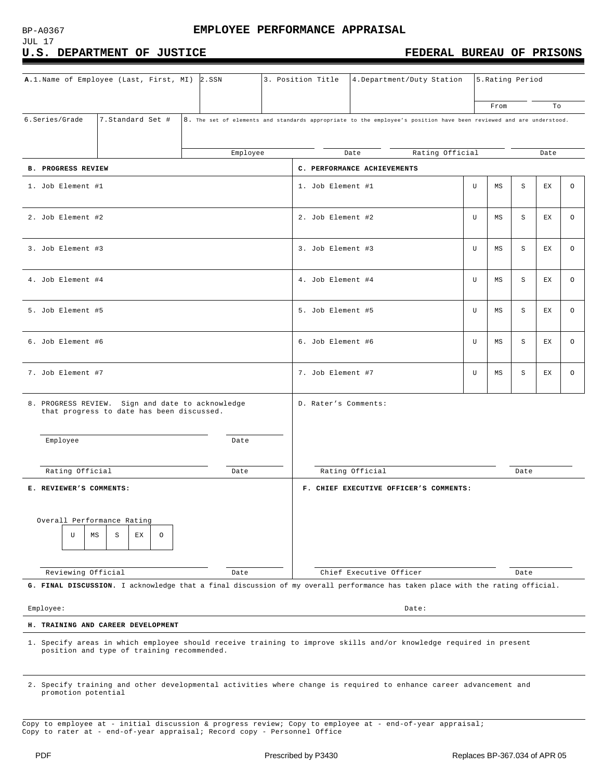JUL 17

#### U.S. DEPARTMENT OF JUSTICE **FEDERAL BUREAU OF PRISONS**

| A.1. Name of Employee (Last, First, MI) 2.SSN                                                                                                                   |  |          |                   | 3. Position Title                      | 4. Department/Duty Station                                                                                         |    | 5. Rating Period |      |      |   |
|-----------------------------------------------------------------------------------------------------------------------------------------------------------------|--|----------|-------------------|----------------------------------------|--------------------------------------------------------------------------------------------------------------------|----|------------------|------|------|---|
|                                                                                                                                                                 |  |          |                   |                                        |                                                                                                                    |    | From             |      | To   |   |
| 7. Standard Set #<br>6.Series/Grade                                                                                                                             |  |          |                   |                                        | 8. The set of elements and standards appropriate to the employee's position have been reviewed and are understood. |    |                  |      |      |   |
|                                                                                                                                                                 |  | Employee |                   |                                        | Rating Official<br>Date                                                                                            |    |                  |      | Date |   |
| <b>B. PROGRESS REVIEW</b>                                                                                                                                       |  |          |                   |                                        | C. PERFORMANCE ACHIEVEMENTS                                                                                        |    |                  |      |      |   |
| 1. Job Element #1                                                                                                                                               |  |          |                   | 1. Job Element #1                      |                                                                                                                    | U  | ΜS               | S    | ЕX   | O |
| 2. Job Element #2                                                                                                                                               |  |          | 2. Job Element #2 |                                        | U                                                                                                                  | MS | S                | ЕX   | O    |   |
| 3. Job Element #3                                                                                                                                               |  |          | 3. Job Element #3 |                                        | U                                                                                                                  | MS | S                | ЕX   | O    |   |
| 4. Job Element #4                                                                                                                                               |  |          | 4. Job Element #4 |                                        | U                                                                                                                  | MS | S                | ЕX   | O    |   |
| 5. Job Element #5                                                                                                                                               |  |          |                   | 5. Job Element #5                      |                                                                                                                    | U  | ΜS               | S    | ЕX   | O |
| 6. Job Element #6                                                                                                                                               |  |          |                   | 6. Job Element #6                      |                                                                                                                    | U  | MS               | S    | ЕX   | O |
| 7. Job Element #7                                                                                                                                               |  |          | 7. Job Element #7 |                                        | U                                                                                                                  | ΜS | S                | ЕX   | O    |   |
| 8. PROGRESS REVIEW. Sign and date to acknowledge<br>that progress to date has been discussed.                                                                   |  |          |                   | D. Rater's Comments:                   |                                                                                                                    |    |                  |      |      |   |
| Employee                                                                                                                                                        |  | Date     |                   |                                        |                                                                                                                    |    |                  |      |      |   |
| Rating Official<br>Date                                                                                                                                         |  |          |                   | Rating Official<br>Date                |                                                                                                                    |    |                  |      |      |   |
| E. REVIEWER'S COMMENTS:                                                                                                                                         |  |          |                   | F. CHIEF EXECUTIVE OFFICER'S COMMENTS: |                                                                                                                    |    |                  |      |      |   |
| Overall Performance Rating<br>$\circ$<br>U<br>ΜS<br>S<br>ЕX                                                                                                     |  |          |                   |                                        |                                                                                                                    |    |                  |      |      |   |
| Reviewing Official                                                                                                                                              |  | Date     |                   |                                        | Chief Executive Officer                                                                                            |    |                  | Date |      |   |
| G. FINAL DISCUSSION. I acknowledge that a final discussion of my overall performance has taken place with the rating official.                                  |  |          |                   |                                        |                                                                                                                    |    |                  |      |      |   |
| Employee:<br>Date:                                                                                                                                              |  |          |                   |                                        |                                                                                                                    |    |                  |      |      |   |
| H. TRAINING AND CAREER DEVELOPMENT                                                                                                                              |  |          |                   |                                        |                                                                                                                    |    |                  |      |      |   |
| 1. Specify areas in which employee should receive training to improve skills and/or knowledge required in present<br>position and type of training recommended. |  |          |                   |                                        |                                                                                                                    |    |                  |      |      |   |

2. Specify training and other developmental activities where change is required to enhance career advancement and promotion potential

Copy to employee at - initial discussion & progress review; Copy to employee at - end-of-year appraisal; Copy to rater at - end-of-year appraisal; Record copy - Personnel Office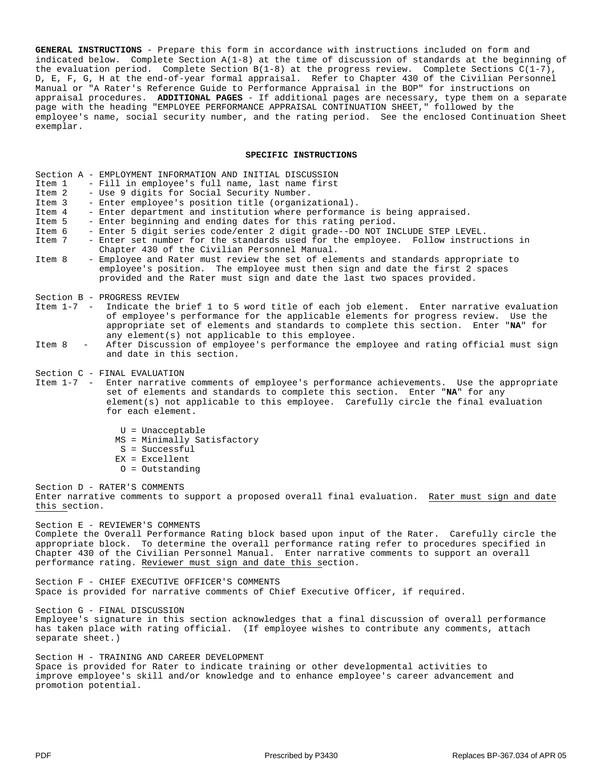**GENERAL INSTRUCTIONS** - Prepare this form in accordance with instructions included on form and indicated below. Complete Section A(1-8) at the time of discussion of standards at the beginning of the evaluation period. Complete Section B(1-8) at the progress review. Complete Sections C(1-7), D, E, F, G, H at the end-of-year formal appraisal. Refer to Chapter 430 of the Civilian Personnel Manual or "A Rater's Reference Guide to Performance Appraisal in the BOP" for instructions on appraisal procedures. **ADDITIONAL PAGES** - If additional pages are necessary, type them on a separate page with the heading "EMPLOYEE PERFORMANCE APPRAISAL CONTINUATION SHEET," followed by the employee's name, social security number, and the rating period. See the enclosed Continuation Sheet exemplar.

#### **SPECIFIC INSTRUCTIONS**

|        | Section A - EMPLOYMENT INFORMATION AND INITIAL DISCUSSION                                                                                                                                                                                                                   |
|--------|-----------------------------------------------------------------------------------------------------------------------------------------------------------------------------------------------------------------------------------------------------------------------------|
| Item 1 | - Fill in employee's full name, last name first                                                                                                                                                                                                                             |
| Item 2 | - Use 9 digits for Social Security Number.                                                                                                                                                                                                                                  |
| Item 3 | - Enter employee's position title (organizational).                                                                                                                                                                                                                         |
| Item 4 | - Enter department and institution where performance is being appraised.                                                                                                                                                                                                    |
| Item 5 | - Enter beginning and ending dates for this rating period.                                                                                                                                                                                                                  |
| Item 6 | - Enter 5 digit series code/enter 2 digit grade--DO NOT INCLUDE STEP LEVEL.                                                                                                                                                                                                 |
| Item 7 | - Enter set number for the standards used for the employee. Follow instructions in                                                                                                                                                                                          |
|        | Chapter 430 of the Civilian Personnel Manual.                                                                                                                                                                                                                               |
| Item 8 | - Employee and Rater must review the set of elements and standards appropriate to<br>employee's position. The employee must then sign and date the first 2 spaces                                                                                                           |
|        | provided and the Rater must sign and date the last two spaces provided.                                                                                                                                                                                                     |
|        | Section B - PROGRESS REVIEW                                                                                                                                                                                                                                                 |
|        | Item 1-7 - Indicate the brief 1 to 5 word title of each job element. Enter narrative evaluation<br>of employee's performance for the applicable elements for progress review. Use the<br>appropriate set of elements and standards to complete this section. Enter "NA" for |
| Item 8 | any element(s) not applicable to this employee.<br>After Discussion of employee's performance the employee and rating official must sign<br>and date in this section.                                                                                                       |
|        | Section C - FINAL EVALUATION<br>Item 1-7 - Enter narrative comments of employee's performance achievements. Use the appropriate<br>set of elements and standards to complete this section. Enter "NA" for any                                                               |

element(s) not applicable to this employee. Carefully circle the final evaluation for each element.

U = Unacceptable MS = Minimally Satisfactory S = Successful EX = Excellent O = Outstanding

Section D - RATER'S COMMENTS Enter narrative comments to support a proposed overall final evaluation. Rater must sign and date this section.

Section E - REVIEWER'S COMMENTS Complete the Overall Performance Rating block based upon input of the Rater. Carefully circle the appropriate block. To determine the overall performance rating refer to procedures specified in Chapter 430 of the Civilian Personnel Manual. Enter narrative comments to support an overall performance rating. Reviewer must sign and date this section.

Section F - CHIEF EXECUTIVE OFFICER'S COMMENTS Space is provided for narrative comments of Chief Executive Officer, if required.

Section G - FINAL DISCUSSION

Employee's signature in this section acknowledges that a final discussion of overall performance has taken place with rating official. (If employee wishes to contribute any comments, attach separate sheet.)

Section H - TRAINING AND CAREER DEVELOPMENT Space is provided for Rater to indicate training or other developmental activities to improve employee's skill and/or knowledge and to enhance employee's career advancement and promotion potential.